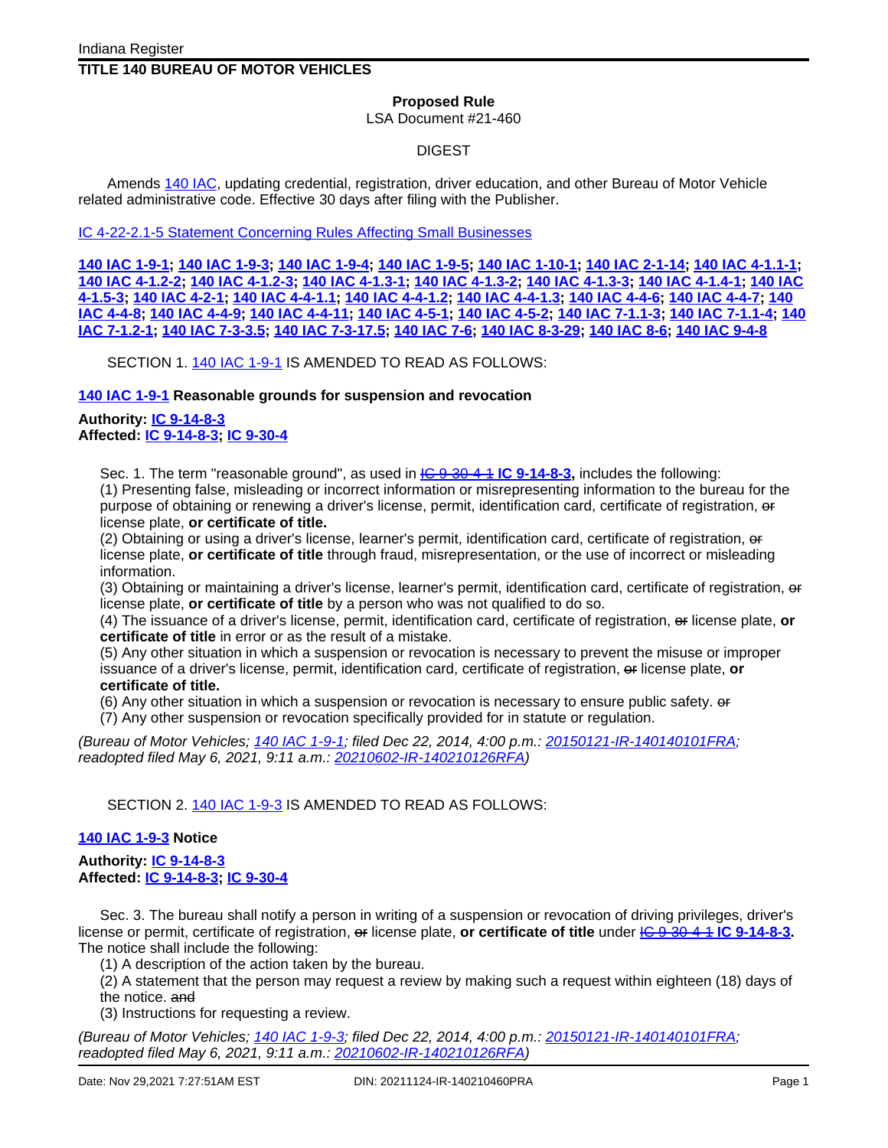## **TITLE 140 BUREAU OF MOTOR VEHICLES**

## **Proposed Rule**

LSA Document #21-460

## DIGEST

Amends 140 [IAC,](http://www.in.gov/legislative/iac/iac_title?iact=140) updating credential, registration, driver education, and other Bureau of Motor Vehicle related administrative code. Effective 30 days after filing with the Publisher.

IC 4-22-2.1-5 Statement [Concerning](http://www.in.gov/legislative/iac/irtoc.htm?view=list&lsadocnum=21-460) Rules Affecting Small Businesses

140 IAC [1-9-1;](http://www.in.gov/legislative/iac/iac_title?iact=140&iaca=1) 140 IAC [1-9-3;](http://www.in.gov/legislative/iac/iac_title?iact=140&iaca=1) 140 IAC [1-9-4;](http://www.in.gov/legislative/iac/iac_title?iact=140&iaca=1) 140 IAC [1-9-5;](http://www.in.gov/legislative/iac/iac_title?iact=140&iaca=1) 140 IAC [1-10-1](http://www.in.gov/legislative/iac/iac_title?iact=140&iaca=1); 140 IAC [2-1-14](http://www.in.gov/legislative/iac/iac_title?iact=140&iaca=2); 140 IAC [4-1.1-1;](http://www.in.gov/legislative/iac/iac_title?iact=140&iaca=4) 140 IAC [4-1.2-2](http://www.in.gov/legislative/iac/iac_title?iact=140&iaca=4); 140 IAC [4-1.2-3](http://www.in.gov/legislative/iac/iac_title?iact=140&iaca=4); 140 IAC [4-1.3-1;](http://www.in.gov/legislative/iac/iac_title?iact=140&iaca=4) 140 IAC [4-1.3-2;](http://www.in.gov/legislative/iac/iac_title?iact=140&iaca=4) 140 IAC [4-1.3-3](http://www.in.gov/legislative/iac/iac_title?iact=140&iaca=4); 140 IAC [4-1.4-1](http://www.in.gov/legislative/iac/iac_title?iact=140&iaca=4); 140 [IAC](http://www.in.gov/legislative/iac/iac_title?iact=140&iaca=4) 4-1.5-3, 140 IAC 4-2-1, 140 IAC 4-4-1.1, 140 IAC [4-4-1.2](http://www.in.gov/legislative/iac/iac_title?iact=140&iaca=4), 140 IAC [4-4-1.3](http://www.in.gov/legislative/iac/iac_title?iact=140&iaca=4), 140 IAC [4-4-6](http://www.in.gov/legislative/iac/iac_title?iact=140&iaca=4), 140 IAC [4-4-7](http://www.in.gov/legislative/iac/iac_title?iact=140&iaca=4), [140](http://www.in.gov/legislative/iac/iac_title?iact=140&iaca=4) IAC [4-4-8](http://www.in.gov/legislative/iac/iac_title?iact=140&iaca=4), 140 IAC [4-4-9](http://www.in.gov/legislative/iac/iac_title?iact=140&iaca=4), 140 IAC 4-4-11, 140 IAC 4-5-1, 140 IAC 4-5-2, 140 IAC 7-1.1-3, 140 IAC [7-1.1-4](http://www.in.gov/legislative/iac/iac_title?iact=140&iaca=7), [140](http://www.in.gov/legislative/iac/iac_title?iact=140&iaca=7) IAC [7-1.2-1;](http://www.in.gov/legislative/iac/iac_title?iact=140&iaca=7) 140 IAC [7-3-3.5;](http://www.in.gov/legislative/iac/iac_title?iact=140&iaca=7) 140 IAC [7-3-17.5;](http://www.in.gov/legislative/iac/iac_title?iact=140&iaca=7) 140 [IAC](http://www.in.gov/legislative/iac/iac_title?iact=140&iaca=8) 7-6; 140 IAC [8-3-29](http://www.in.gov/legislative/iac/iac_title?iact=140&iaca=8); 140 IAC 8-6; 140 IAC [9-4-8](http://www.in.gov/legislative/iac/iac_title?iact=140&iaca=9)

SECTION 1. 140 IAC [1-9-1](http://www.in.gov/legislative/iac/iac_title?iact=140&iaca=1) IS AMENDED TO READ AS FOLLOWS:

**140 IAC [1-9-1](http://www.in.gov/legislative/iac/iac_title?iact=140&iaca=1) Reasonable grounds for suspension and revocation**

## **Authority: IC [9-14-8-3](http://www.in.gov/legislative/iac/ic?t=9&a=14&c=8&s=3) Affected: IC [9-14-8-3;](http://www.in.gov/legislative/iac/ic?t=9&a=14&c=8&s=3) IC [9-30-4](http://www.in.gov/legislative/iac/ic?t=9&a=30&c=4)**

Sec. 1. The term "reasonable ground", as used in IC [9-30-4-1](http://www.in.gov/legislative/iac/ic?t=9&a=30&c=4&s=1) **IC [9-14-8-3](http://www.in.gov/legislative/iac/ic?t=9&a=14&c=8&s=3),** includes the following:

(1) Presenting false, misleading or incorrect information or misrepresenting information to the bureau for the purpose of obtaining or renewing a driver's license, permit, identification card, certificate of registration, or license plate, **or certificate of title.**

(2) Obtaining or using a driver's license, learner's permit, identification card, certificate of registration, or license plate, **or certificate of title** through fraud, misrepresentation, or the use of incorrect or misleading information.

(3) Obtaining or maintaining a driver's license, learner's permit, identification card, certificate of registration, or license plate, **or certificate of title** by a person who was not qualified to do so.

(4) The issuance of a driver's license, permit, identification card, certificate of registration, or license plate, **or certificate of title** in error or as the result of a mistake.

(5) Any other situation in which a suspension or revocation is necessary to prevent the misuse or improper issuance of a driver's license, permit, identification card, certificate of registration, or license plate, **or certificate of title.**

(6) Any other situation in which a suspension or revocation is necessary to ensure public safety. or

(7) Any other suspension or revocation specifically provided for in statute or regulation.

(Bureau of Motor Vehicles; 140 IAC [1-9-1](http://www.in.gov/legislative/iac/iac_title?iact=140&iaca=1); filed Dec 22, 2014, 4:00 p.m.: [20150121-IR-140140101FRA;](http://www.in.gov/legislative/iac/irdin.pdf?din=20150121-IR-140140101FRA) readopted filed May 6, 2021, 9:11 a.m.: [20210602-IR-140210126RFA\)](http://www.in.gov/legislative/iac/irdin.pdf?din=20210602-IR-140210126RFA)

SECTION 2. 140 IAC [1-9-3](http://www.in.gov/legislative/iac/iac_title?iact=140&iaca=1) IS AMENDED TO READ AS FOLLOWS:

## **140 IAC [1-9-3](http://www.in.gov/legislative/iac/iac_title?iact=140&iaca=1) Notice**

## **Authority: IC [9-14-8-3](http://www.in.gov/legislative/iac/ic?t=9&a=14&c=8&s=3) Affected: IC [9-14-8-3;](http://www.in.gov/legislative/iac/ic?t=9&a=14&c=8&s=3) IC [9-30-4](http://www.in.gov/legislative/iac/ic?t=9&a=30&c=4)**

Sec. 3. The bureau shall notify a person in writing of a suspension or revocation of driving privileges, driver's license or permit, certificate of registration, or license plate, **or certificate of title** under IC [9-30-4-1](http://www.in.gov/legislative/iac/ic?t=9&a=30&c=4&s=1) **IC** [9-14-8-3](http://www.in.gov/legislative/iac/ic?t=9&a=14&c=8&s=3) The notice shall include the following:

(1) A description of the action taken by the bureau.

(2) A statement that the person may request a review by making such a request within eighteen (18) days of the notice. and

(3) Instructions for requesting a review.

(Bureau of Motor Vehicles; 140 IAC [1-9-3](http://www.in.gov/legislative/iac/iac_title?iact=140&iaca=1); filed Dec 22, 2014, 4:00 p.m.: [20150121-IR-140140101FRA;](http://www.in.gov/legislative/iac/irdin.pdf?din=20150121-IR-140140101FRA) readopted filed May 6, 2021, 9:11 a.m.: [20210602-IR-140210126RFA\)](http://www.in.gov/legislative/iac/irdin.pdf?din=20210602-IR-140210126RFA)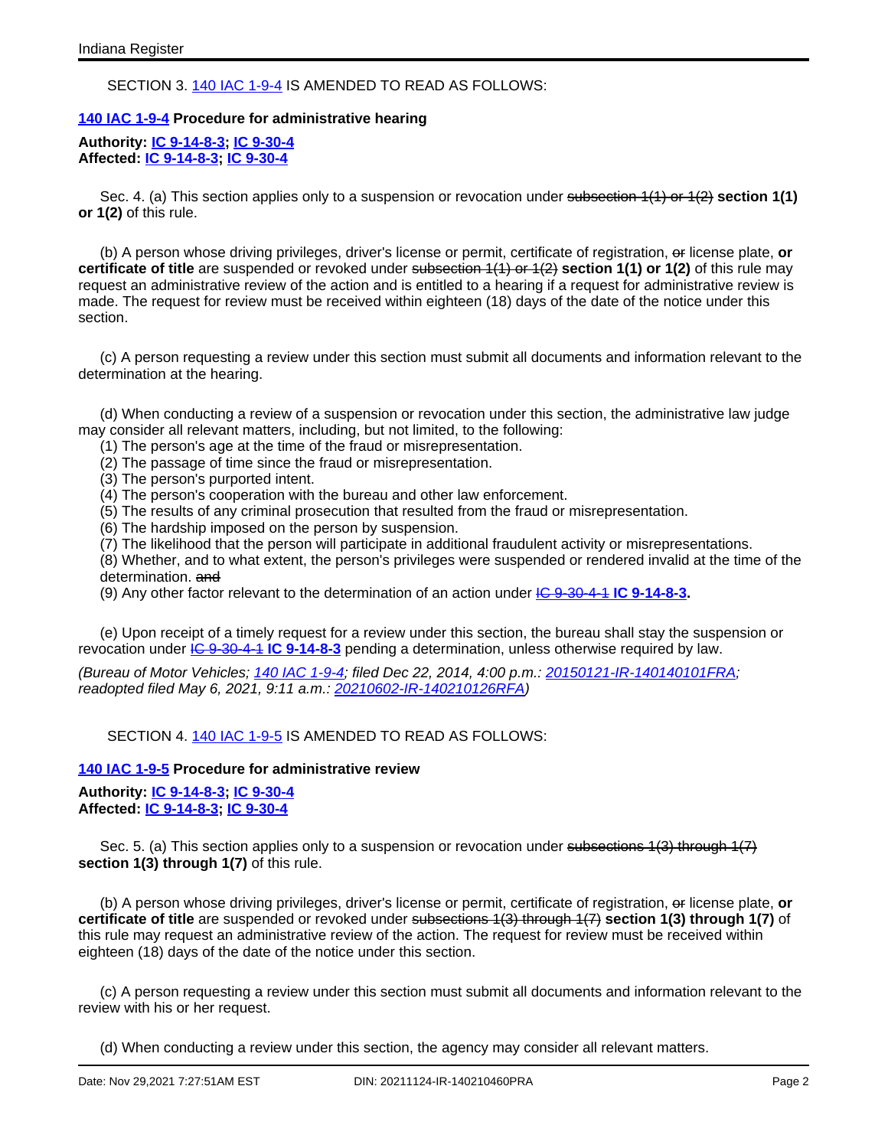## SECTION 3. 140 IAC [1-9-4](http://www.in.gov/legislative/iac/iac_title?iact=140&iaca=1) IS AMENDED TO READ AS FOLLOWS:

#### **140 IAC [1-9-4](http://www.in.gov/legislative/iac/iac_title?iact=140&iaca=1) Procedure for administrative hearing**

#### **Authority: IC [9-14-8-3](http://www.in.gov/legislative/iac/ic?t=9&a=14&c=8&s=3); IC [9-30-4](http://www.in.gov/legislative/iac/ic?t=9&a=30&c=4) Affected: IC [9-14-8-3;](http://www.in.gov/legislative/iac/ic?t=9&a=14&c=8&s=3) IC [9-30-4](http://www.in.gov/legislative/iac/ic?t=9&a=30&c=4)**

Sec. 4. (a) This section applies only to a suspension or revocation under subsection 1(1) or 1(2) **section 1(1) or 1(2)** of this rule.

(b) A person whose driving privileges, driver's license or permit, certificate of registration, or license plate, **or certificate of title** are suspended or revoked under subsection 1(1) or 1(2) section 1(1) or 1(2) of this rule may request an administrative review of the action and is entitled to a hearing if a request for administrative review is made. The request for review must be received within eighteen (18) days of the date of the notice under this section.

(c) A person requesting a review under this section must submit all documents and information relevant to the determination at the hearing.

(d) When conducting a review of a suspension or revocation under this section, the administrative law judge may consider all relevant matters, including, but not limited, to the following:

- (1) The person's age at the time of the fraud or misrepresentation.
- (2) The passage of time since the fraud or misrepresentation.
- (3) The person's purported intent.
- (4) The person's cooperation with the bureau and other law enforcement.
- (5) The results of any criminal prosecution that resulted from the fraud or misrepresentation.
- (6) The hardship imposed on the person by suspension.
- (7) The likelihood that the person will participate in additional fraudulent activity or misrepresentations.

(8) Whether, and to what extent, the person's privileges were suspended or rendered invalid at the time of the determination. and

(9) Any other factor relevant to the determination of an action under IC [9-30-4-1](http://www.in.gov/legislative/iac/ic?t=9&a=30&c=4&s=1) **IC [9-14-8-3.](http://www.in.gov/legislative/iac/ic?t=9&a=14&c=8&s=3)**

(e) Upon receipt of a timely request for a review under this section, the bureau shall stay the suspension or revocation under IC [9-30-4-1](http://www.in.gov/legislative/iac/ic?t=9&a=30&c=4&s=1) **IC [9-14-8-3](http://www.in.gov/legislative/iac/ic?t=9&a=14&c=8&s=3)** pending a determination, unless otherwise required by law.

(Bureau of Motor Vehicles; 140 IAC [1-9-4](http://www.in.gov/legislative/iac/iac_title?iact=140&iaca=1); filed Dec 22, 2014, 4:00 p.m.: [20150121-IR-140140101FRA;](http://www.in.gov/legislative/iac/irdin.pdf?din=20150121-IR-140140101FRA) readopted filed May 6, 2021, 9:11 a.m.: [20210602-IR-140210126RFA\)](http://www.in.gov/legislative/iac/irdin.pdf?din=20210602-IR-140210126RFA)

## SECTION 4. 140 IAC [1-9-5](http://www.in.gov/legislative/iac/iac_title?iact=140&iaca=1) IS AMENDED TO READ AS FOLLOWS:

#### **140 IAC [1-9-5](http://www.in.gov/legislative/iac/iac_title?iact=140&iaca=1) Procedure for administrative review**

**Authority: IC [9-14-8-3](http://www.in.gov/legislative/iac/ic?t=9&a=14&c=8&s=3); IC [9-30-4](http://www.in.gov/legislative/iac/ic?t=9&a=30&c=4) Affected: IC [9-14-8-3;](http://www.in.gov/legislative/iac/ic?t=9&a=14&c=8&s=3) IC [9-30-4](http://www.in.gov/legislative/iac/ic?t=9&a=30&c=4)**

Sec. 5. (a) This section applies only to a suspension or revocation under subsections 1(3) through 1(7) **section 1(3) through 1(7)** of this rule.

(b) A person whose driving privileges, driver's license or permit, certificate of registration, or license plate, **or certificate of title** are suspended or revoked under subsections 1(3) through 1(7) **section 1(3) through 1(7)** of this rule may request an administrative review of the action. The request for review must be received within eighteen (18) days of the date of the notice under this section.

(c) A person requesting a review under this section must submit all documents and information relevant to the review with his or her request.

(d) When conducting a review under this section, the agency may consider all relevant matters.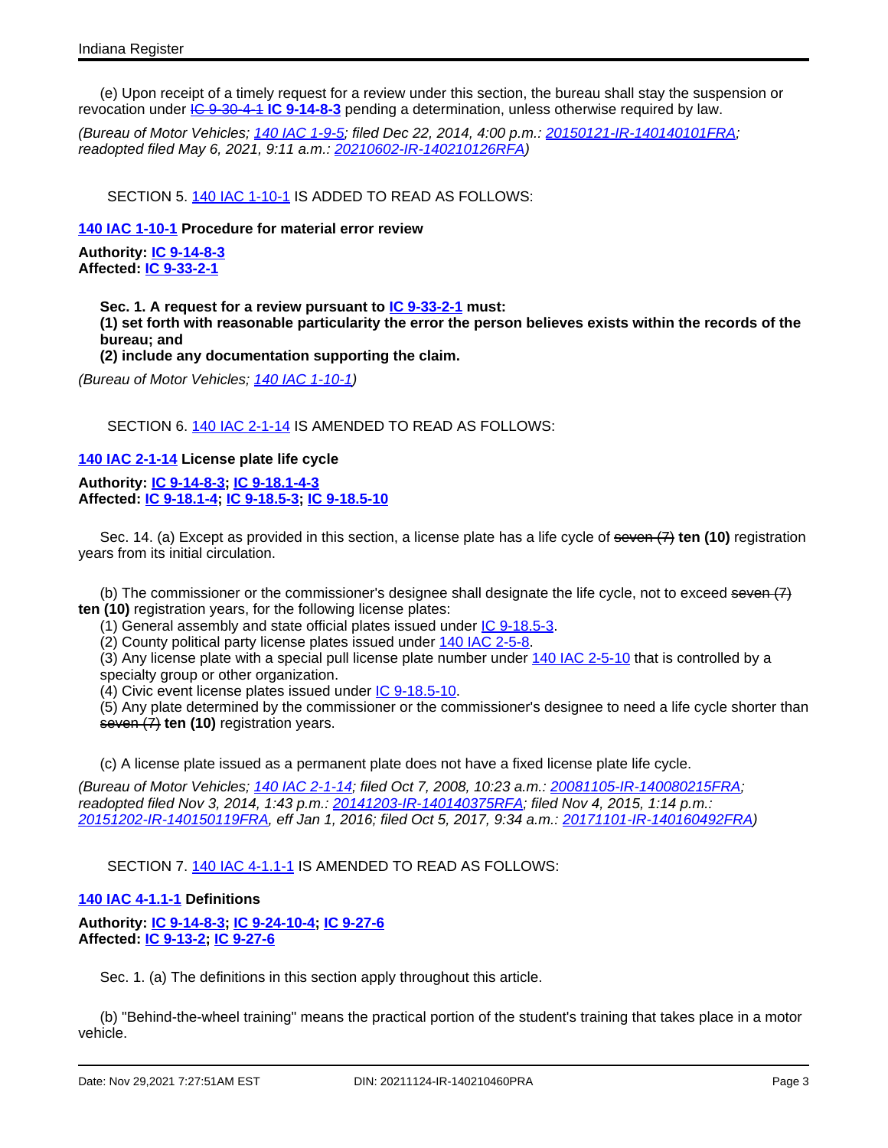(e) Upon receipt of a timely request for a review under this section, the bureau shall stay the suspension or revocation under IC [9-30-4-1](http://www.in.gov/legislative/iac/ic?t=9&a=30&c=4&s=1) **IC [9-14-8-3](http://www.in.gov/legislative/iac/ic?t=9&a=14&c=8&s=3)** pending a determination, unless otherwise required by law.

(Bureau of Motor Vehicles; 140 IAC [1-9-5](http://www.in.gov/legislative/iac/iac_title?iact=140&iaca=1); filed Dec 22, 2014, 4:00 p.m.: [20150121-IR-140140101FRA;](http://www.in.gov/legislative/iac/irdin.pdf?din=20150121-IR-140140101FRA) readopted filed May 6, 2021, 9:11 a.m.: [20210602-IR-140210126RFA\)](http://www.in.gov/legislative/iac/irdin.pdf?din=20210602-IR-140210126RFA)

SECTION 5. 140 IAC [1-10-1](http://www.in.gov/legislative/iac/iac_title?iact=140&iaca=1) IS ADDED TO READ AS FOLLOWS:

## **140 IAC [1-10-1](http://www.in.gov/legislative/iac/iac_title?iact=140&iaca=1) Procedure for material error review**

**Authority: IC [9-14-8-3](http://www.in.gov/legislative/iac/ic?t=9&a=14&c=8&s=3) Affected: IC [9-33-2-1](http://www.in.gov/legislative/iac/ic?t=9&a=33&c=2&s=1)**

> **Sec. 1. A request for a review pursuant to IC [9-33-2-1](http://www.in.gov/legislative/iac/ic?t=9&a=33&c=2&s=1) must: (1) set forth with reasonable particularity the error the person believes exists within the records of the bureau; and (2) include any documentation supporting the claim.**

(Bureau of Motor Vehicles; 140 IAC [1-10-1\)](http://www.in.gov/legislative/iac/iac_title?iact=140&iaca=1)

SECTION 6. 140 IAC [2-1-14](http://www.in.gov/legislative/iac/iac_title?iact=140&iaca=2) IS AMENDED TO READ AS FOLLOWS:

**140 IAC [2-1-14](http://www.in.gov/legislative/iac/iac_title?iact=140&iaca=2) License plate life cycle**

**Authority: IC [9-14-8-3](http://www.in.gov/legislative/iac/ic?t=9&a=14&c=8&s=3); IC [9-18.1-4-3](http://www.in.gov/legislative/iac/ic?t=9&a=18.1&c=4&s=3) Affected: IC [9-18.1-4](http://www.in.gov/legislative/iac/ic?t=9&a=18.1&c=4); IC [9-18.5-3](http://www.in.gov/legislative/iac/ic?t=9&a=18.5&c=3); IC [9-18.5-10](http://www.in.gov/legislative/iac/ic?t=9&a=18.5&c=10)**

Sec. 14. (a) Except as provided in this section, a license plate has a life cycle of seven (7) **ten (10)** registration years from its initial circulation.

(b) The commissioner or the commissioner's designee shall designate the life cycle, not to exceed seven  $(7)$ **ten (10)** registration years, for the following license plates:

(1) General assembly and state official plates issued under IC [9-18.5-3.](http://www.in.gov/legislative/iac/ic?t=9&a=18.5&c=3)

(2) County political party license plates issued under 140 IAC [2-5-8](http://www.in.gov/legislative/iac/iac_title?iact=140&iaca=2).

(3) Any license plate with a special pull license plate number under 140 IAC [2-5-10](http://www.in.gov/legislative/iac/iac_title?iact=140&iaca=2) that is controlled by a specialty group or other organization.

(4) Civic event license plates issued under IC [9-18.5-10.](http://www.in.gov/legislative/iac/ic?t=9&a=18.5&c=10)

(5) Any plate determined by the commissioner or the commissioner's designee to need a life cycle shorter than seven (7) **ten (10)** registration years.

(c) A license plate issued as a permanent plate does not have a fixed license plate life cycle.

(Bureau of Motor Vehicles; 140 IAC [2-1-14;](http://www.in.gov/legislative/iac/iac_title?iact=140&iaca=2) filed Oct 7, 2008, 10:23 a.m.: [20081105-IR-140080215FRA;](http://www.in.gov/legislative/iac/irdin.pdf?din=20081105-IR-140080215FRA) readopted filed Nov 3, 2014, 1:43 p.m.: [20141203-IR-140140375RFA;](http://www.in.gov/legislative/iac/irdin.pdf?din=20141203-IR-140140375RFA) filed Nov 4, 2015, 1:14 p.m.: [20151202-IR-140150119FRA](http://www.in.gov/legislative/iac/irdin.pdf?din=20151202-IR-140150119FRA), eff Jan 1, 2016; filed Oct 5, 2017, 9:34 a.m.: [20171101-IR-140160492FRA](http://www.in.gov/legislative/iac/irdin.pdf?din=20171101-IR-140160492FRA))

SECTION 7. 140 IAC [4-1.1-1](http://www.in.gov/legislative/iac/iac_title?iact=140&iaca=4) IS AMENDED TO READ AS FOLLOWS:

#### **140 IAC [4-1.1-1](http://www.in.gov/legislative/iac/iac_title?iact=140&iaca=4) Definitions**

**Authority: IC [9-14-8-3](http://www.in.gov/legislative/iac/ic?t=9&a=14&c=8&s=3); IC [9-24-10-4](http://www.in.gov/legislative/iac/ic?t=9&a=24&c=10&s=4); IC [9-27-6](http://www.in.gov/legislative/iac/ic?t=9&a=27&c=6) Affected: IC [9-13-2;](http://www.in.gov/legislative/iac/ic?t=9&a=13&c=2) IC [9-27-6](http://www.in.gov/legislative/iac/ic?t=9&a=27&c=6)**

Sec. 1. (a) The definitions in this section apply throughout this article.

(b) "Behind-the-wheel training" means the practical portion of the student's training that takes place in a motor vehicle.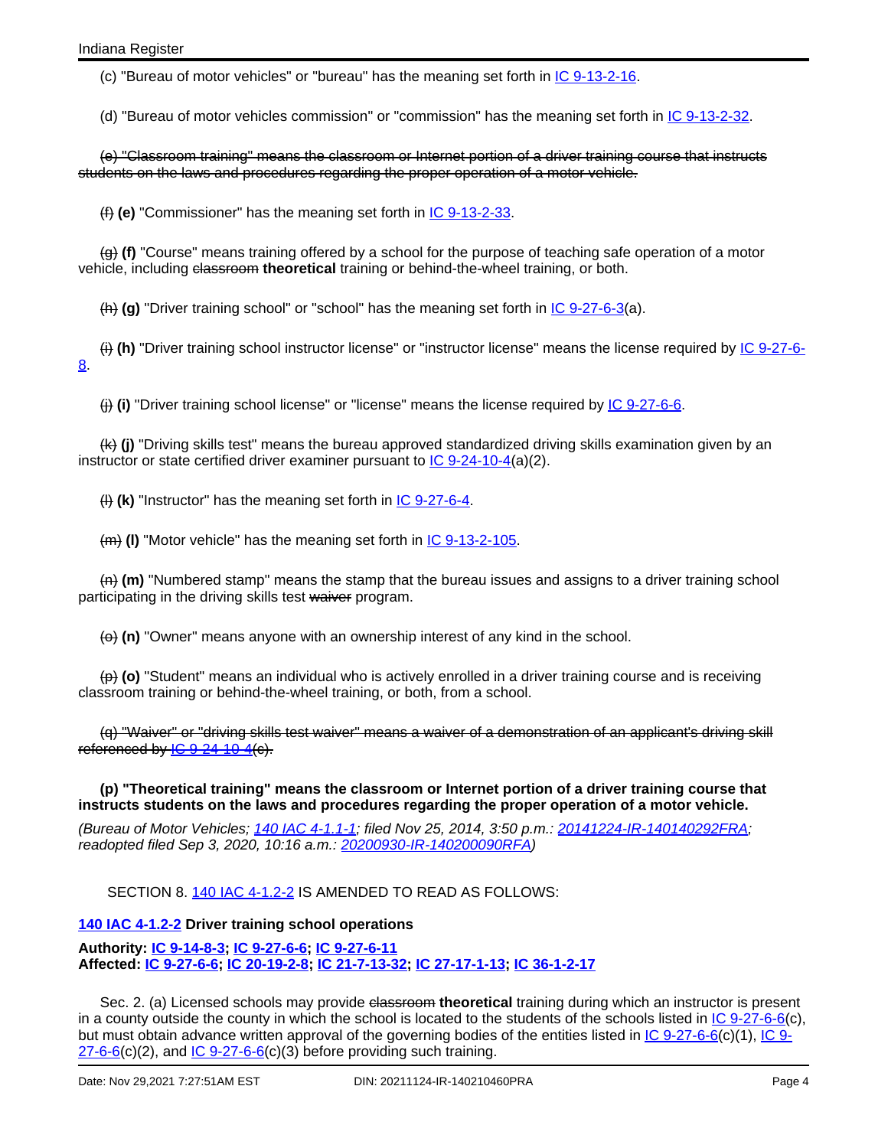(c) "Bureau of motor vehicles" or "bureau" has the meaning set forth in IC [9-13-2-16.](http://www.in.gov/legislative/iac/ic?t=9&a=13&c=2&s=16)

(d) "Bureau of motor vehicles commission" or "commission" has the meaning set forth in IC [9-13-2-32.](http://www.in.gov/legislative/iac/ic?t=9&a=13&c=2&s=32)

(e) "Classroom training" means the classroom or Internet portion of a driver training course that instructs students on the laws and procedures regarding the proper operation of a motor vehicle.

(f) **(e)** "Commissioner" has the meaning set forth in IC [9-13-2-33](http://www.in.gov/legislative/iac/ic?t=9&a=13&c=2&s=33).

(g) **(f)** "Course" means training offered by a school for the purpose of teaching safe operation of a motor vehicle, including classroom theoretical training or behind-the-wheel training, or both.

(h) **(g)** "Driver training school" or "school" has the meaning set forth in IC [9-27-6-3\(](http://www.in.gov/legislative/iac/ic?t=9&a=27&c=6&s=3)a).

(i) **(h)** "Driver training school instructor license" or "instructor license" means the license required by IC [9-27-6-](http://www.in.gov/legislative/iac/ic?t=9&a=27&c=6&s=8) [8.](http://www.in.gov/legislative/iac/ic?t=9&a=27&c=6&s=8)

(j) **(i)** "Driver training school license" or "license" means the license required by IC [9-27-6-6.](http://www.in.gov/legislative/iac/ic?t=9&a=27&c=6&s=6)

(k) **(j)** "Driving skills test" means the bureau approved standardized driving skills examination given by an instructor or state certified driver examiner pursuant to  $IC$  [9-24-10-4](http://www.in.gov/legislative/iac/ic?t=9&a=24&c=10&s=4)(a)(2).

(l) **(k)** "Instructor" has the meaning set forth in IC [9-27-6-4.](http://www.in.gov/legislative/iac/ic?t=9&a=27&c=6&s=4)

(m) (I) "Motor vehicle" has the meaning set forth in IC [9-13-2-105](http://www.in.gov/legislative/iac/ic?t=9&a=13&c=2&s=105).

(n) **(m)** "Numbered stamp" means the stamp that the bureau issues and assigns to a driver training school participating in the driving skills test waiver program.

(a) (n) "Owner" means anyone with an ownership interest of any kind in the school.

(p) **(o)** "Student" means an individual who is actively enrolled in a driver training course and is receiving classroom training or behind-the-wheel training, or both, from a school.

(q) "Waiver" or "driving skills test waiver" means a waiver of a demonstration of an applicant's driving skill referenced by  $1C$  [9-24-10-4](http://www.in.gov/legislative/iac/ic?t=9&a=24&c=10&s=4)(c).

**(p) "Theoretical training" means the classroom or Internet portion of a driver training course that instructs students on the laws and procedures regarding the proper operation of a motor vehicle.**

(Bureau of Motor Vehicles; 140 IAC [4-1.1-1;](http://www.in.gov/legislative/iac/iac_title?iact=140&iaca=4) filed Nov 25, 2014, 3:50 p.m.: [20141224-IR-140140292FRA;](http://www.in.gov/legislative/iac/irdin.pdf?din=20141224-IR-140140292FRA) readopted filed Sep 3, 2020, 10:16 a.m.: [20200930-IR-140200090RFA](http://www.in.gov/legislative/iac/irdin.pdf?din=20200930-IR-140200090RFA))

SECTION 8. 140 IAC [4-1.2-2](http://www.in.gov/legislative/iac/iac_title?iact=140&iaca=4) IS AMENDED TO READ AS FOLLOWS:

## **140 IAC [4-1.2-2](http://www.in.gov/legislative/iac/iac_title?iact=140&iaca=4) Driver training school operations**

**Authority: IC [9-14-8-3](http://www.in.gov/legislative/iac/ic?t=9&a=14&c=8&s=3); IC [9-27-6-6;](http://www.in.gov/legislative/iac/ic?t=9&a=27&c=6&s=6) IC [9-27-6-11](http://www.in.gov/legislative/iac/ic?t=9&a=27&c=6&s=11) Affected: IC [9-27-6-6;](http://www.in.gov/legislative/iac/ic?t=9&a=27&c=6&s=6) IC [20-19-2-8;](http://www.in.gov/legislative/iac/ic?t=20&a=19&c=2&s=8) IC [21-7-13-32;](http://www.in.gov/legislative/iac/ic?t=21&a=7&c=13&s=32) IC [27-17-1-13;](http://www.in.gov/legislative/iac/ic?t=27&a=17&c=1&s=13) IC [36-1-2-17](http://www.in.gov/legislative/iac/ic?t=36&a=1&c=2&s=17)**

Sec. 2. (a) Licensed schools may provide classroom theoretical training during which an instructor is present in a county outside the county in which the school is located to the students of the schools listed in  $IC$  [9-27-6-6](http://www.in.gov/legislative/iac/ic?t=9&a=27&c=6&s=6)(c), but must obtain advance written approval of the governing bodies of the entities listed in IC [9-27-6-6](http://www.in.gov/legislative/iac/ic?t=9&a=27&c=6&s=6)(c)(1), [IC](http://www.in.gov/legislative/iac/ic?t=9&a=27&c=6&s=6) 9- $27-6-6$  (c)(2), and  $1C \frac{9-27-6-6}{c}$  $1C \frac{9-27-6-6}{c}$  $1C \frac{9-27-6-6}{c}$  (c)(3) before providing such training.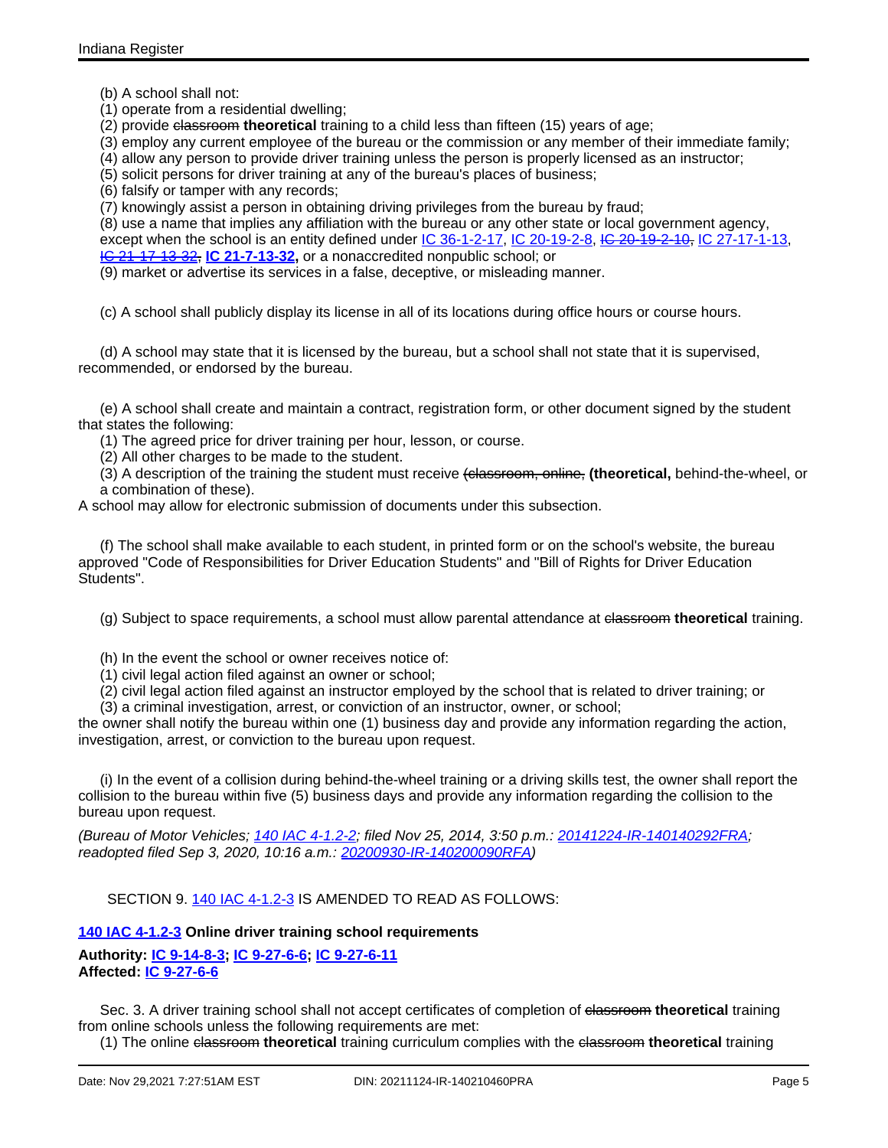(b) A school shall not:

(1) operate from a residential dwelling;

(2) provide classroom **theoretical** training to a child less than fifteen (15) years of age;

(3) employ any current employee of the bureau or the commission or any member of their immediate family;

(4) allow any person to provide driver training unless the person is properly licensed as an instructor;

(5) solicit persons for driver training at any of the bureau's places of business;

(6) falsify or tamper with any records;

(7) knowingly assist a person in obtaining driving privileges from the bureau by fraud;

(8) use a name that implies any affiliation with the bureau or any other state or local government agency, except when the school is an entity defined under IC [36-1-2-17,](http://www.in.gov/legislative/iac/ic?t=36&a=1&c=2&s=17) IC [20-19-2-8,](http://www.in.gov/legislative/iac/ic?t=20&a=19&c=2&s=8) IC [20-19-2-10,](http://www.in.gov/legislative/iac/ic?t=20&a=19&c=2&s=10) IC [27-17-1-13](http://www.in.gov/legislative/iac/ic?t=27&a=17&c=1&s=13), IC [21-17-13-32](http://www.in.gov/legislative/iac/ic?t=21&a=17&c=13&s=32), **IC [21-7-13-32,](http://www.in.gov/legislative/iac/ic?t=21&a=7&c=13&s=32)** or a nonaccredited nonpublic school; or

(9) market or advertise its services in a false, deceptive, or misleading manner.

(c) A school shall publicly display its license in all of its locations during office hours or course hours.

(d) A school may state that it is licensed by the bureau, but a school shall not state that it is supervised, recommended, or endorsed by the bureau.

(e) A school shall create and maintain a contract, registration form, or other document signed by the student that states the following:

(1) The agreed price for driver training per hour, lesson, or course.

(2) All other charges to be made to the student.

(3) A description of the training the student must receive (classroom, online, **(theoretical,** behind-the-wheel, or a combination of these).

A school may allow for electronic submission of documents under this subsection.

(f) The school shall make available to each student, in printed form or on the school's website, the bureau approved "Code of Responsibilities for Driver Education Students" and "Bill of Rights for Driver Education Students".

(g) Subject to space requirements, a school must allow parental attendance at classroom **theoretical** training.

(h) In the event the school or owner receives notice of:

(1) civil legal action filed against an owner or school;

(2) civil legal action filed against an instructor employed by the school that is related to driver training; or

(3) a criminal investigation, arrest, or conviction of an instructor, owner, or school;

the owner shall notify the bureau within one (1) business day and provide any information regarding the action, investigation, arrest, or conviction to the bureau upon request.

(i) In the event of a collision during behind-the-wheel training or a driving skills test, the owner shall report the collision to the bureau within five (5) business days and provide any information regarding the collision to the bureau upon request.

(Bureau of Motor Vehicles; 140 IAC [4-1.2-2;](http://www.in.gov/legislative/iac/iac_title?iact=140&iaca=4) filed Nov 25, 2014, 3:50 p.m.: [20141224-IR-140140292FRA;](http://www.in.gov/legislative/iac/irdin.pdf?din=20141224-IR-140140292FRA) readopted filed Sep 3, 2020, 10:16 a.m.: [20200930-IR-140200090RFA](http://www.in.gov/legislative/iac/irdin.pdf?din=20200930-IR-140200090RFA))

SECTION 9. 140 IAC [4-1.2-3](http://www.in.gov/legislative/iac/iac_title?iact=140&iaca=4) IS AMENDED TO READ AS FOLLOWS:

## **140 IAC [4-1.2-3](http://www.in.gov/legislative/iac/iac_title?iact=140&iaca=4) Online driver training school requirements**

**Authority: IC [9-14-8-3](http://www.in.gov/legislative/iac/ic?t=9&a=14&c=8&s=3); IC [9-27-6-6;](http://www.in.gov/legislative/iac/ic?t=9&a=27&c=6&s=6) IC [9-27-6-11](http://www.in.gov/legislative/iac/ic?t=9&a=27&c=6&s=11) Affected: IC [9-27-6-6](http://www.in.gov/legislative/iac/ic?t=9&a=27&c=6&s=6)**

Sec. 3. A driver training school shall not accept certificates of completion of elassroom theoretical training from online schools unless the following requirements are met:

(1) The online classroom **theoretical** training curriculum complies with the classroom **theoretical** training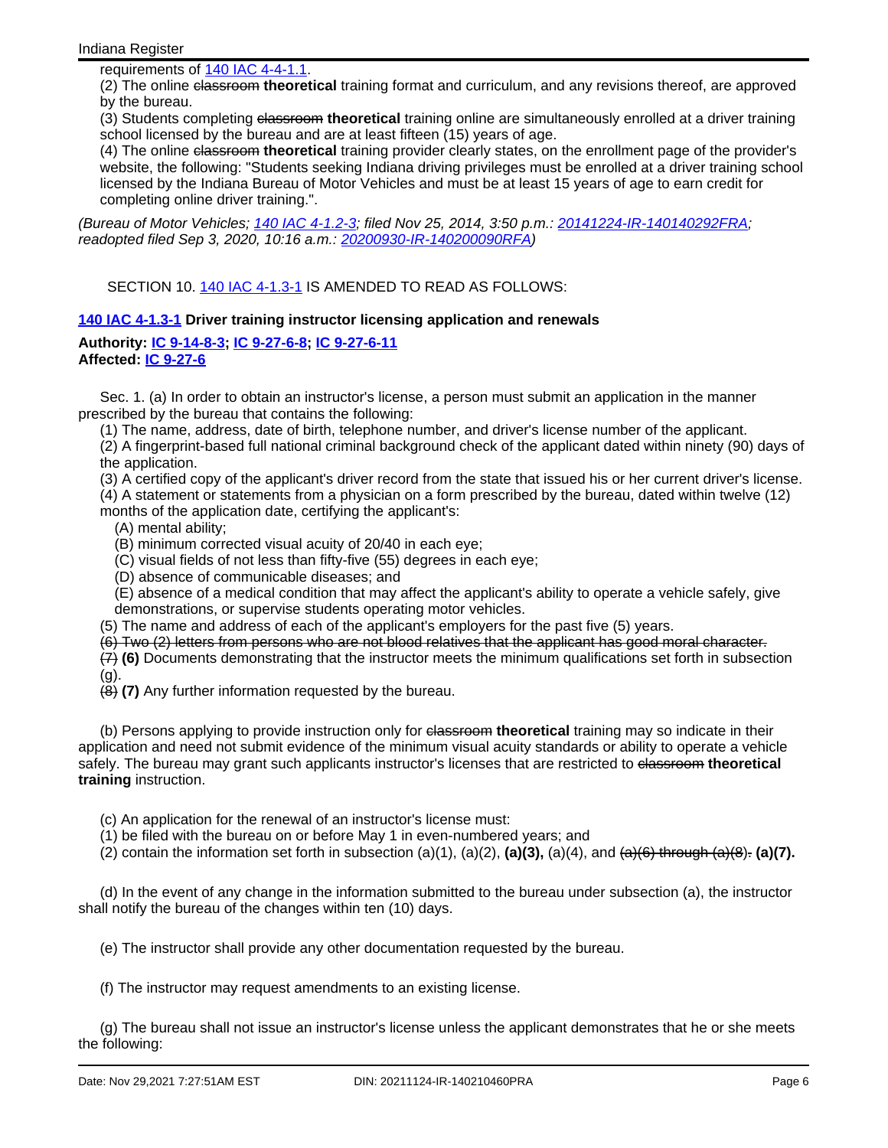requirements of 140 IAC [4-4-1.1.](http://www.in.gov/legislative/iac/iac_title?iact=140&iaca=4)

(2) The online classroom theoretical training format and curriculum, and any revisions thereof, are approved by the bureau.

(3) Students completing classroom **theoretical** training online are simultaneously enrolled at a driver training school licensed by the bureau and are at least fifteen (15) years of age.

(4) The online classroom **theoretical** training provider clearly states, on the enrollment page of the provider's website, the following: "Students seeking Indiana driving privileges must be enrolled at a driver training school licensed by the Indiana Bureau of Motor Vehicles and must be at least 15 years of age to earn credit for completing online driver training.".

(Bureau of Motor Vehicles; 140 IAC [4-1.2-3;](http://www.in.gov/legislative/iac/iac_title?iact=140&iaca=4) filed Nov 25, 2014, 3:50 p.m.: [20141224-IR-140140292FRA;](http://www.in.gov/legislative/iac/irdin.pdf?din=20141224-IR-140140292FRA) readopted filed Sep 3, 2020, 10:16 a.m.: [20200930-IR-140200090RFA](http://www.in.gov/legislative/iac/irdin.pdf?din=20200930-IR-140200090RFA))

SECTION 10. 140 IAC [4-1.3-1](http://www.in.gov/legislative/iac/iac_title?iact=140&iaca=4) IS AMENDED TO READ AS FOLLOWS:

## **140 IAC [4-1.3-1](http://www.in.gov/legislative/iac/iac_title?iact=140&iaca=4) Driver training instructor licensing application and renewals**

#### **Authority: IC [9-14-8-3](http://www.in.gov/legislative/iac/ic?t=9&a=14&c=8&s=3); IC [9-27-6-8;](http://www.in.gov/legislative/iac/ic?t=9&a=27&c=6&s=8) IC [9-27-6-11](http://www.in.gov/legislative/iac/ic?t=9&a=27&c=6&s=11) Affected: IC [9-27-6](http://www.in.gov/legislative/iac/ic?t=9&a=27&c=6)**

Sec. 1. (a) In order to obtain an instructor's license, a person must submit an application in the manner prescribed by the bureau that contains the following:

(1) The name, address, date of birth, telephone number, and driver's license number of the applicant.

(2) A fingerprint-based full national criminal background check of the applicant dated within ninety (90) days of the application.

(3) A certified copy of the applicant's driver record from the state that issued his or her current driver's license.

(4) A statement or statements from a physician on a form prescribed by the bureau, dated within twelve (12) months of the application date, certifying the applicant's:

- (A) mental ability;
- (B) minimum corrected visual acuity of 20/40 in each eye;
- (C) visual fields of not less than fifty-five (55) degrees in each eye;
- (D) absence of communicable diseases; and

(E) absence of a medical condition that may affect the applicant's ability to operate a vehicle safely, give demonstrations, or supervise students operating motor vehicles.

(5) The name and address of each of the applicant's employers for the past five (5) years.

(6) Two (2) letters from persons who are not blood relatives that the applicant has good moral character.

(7) **(6)** Documents demonstrating that the instructor meets the minimum qualifications set forth in subsection (g).

(8) **(7)** Any further information requested by the bureau.

(b) Persons applying to provide instruction only for elassroom theoretical training may so indicate in their application and need not submit evidence of the minimum visual acuity standards or ability to operate a vehicle safely. The bureau may grant such applicants instructor's licenses that are restricted to elassroom theoretical **training** instruction.

- (c) An application for the renewal of an instructor's license must:
- (1) be filed with the bureau on or before May 1 in even-numbered years; and
- (2) contain the information set forth in subsection (a)(1), (a)(2), **(a)(3),** (a)(4), and (a)(6) through (a)(8). **(a)(7).**

(d) In the event of any change in the information submitted to the bureau under subsection (a), the instructor shall notify the bureau of the changes within ten (10) days.

(e) The instructor shall provide any other documentation requested by the bureau.

(f) The instructor may request amendments to an existing license.

(g) The bureau shall not issue an instructor's license unless the applicant demonstrates that he or she meets the following: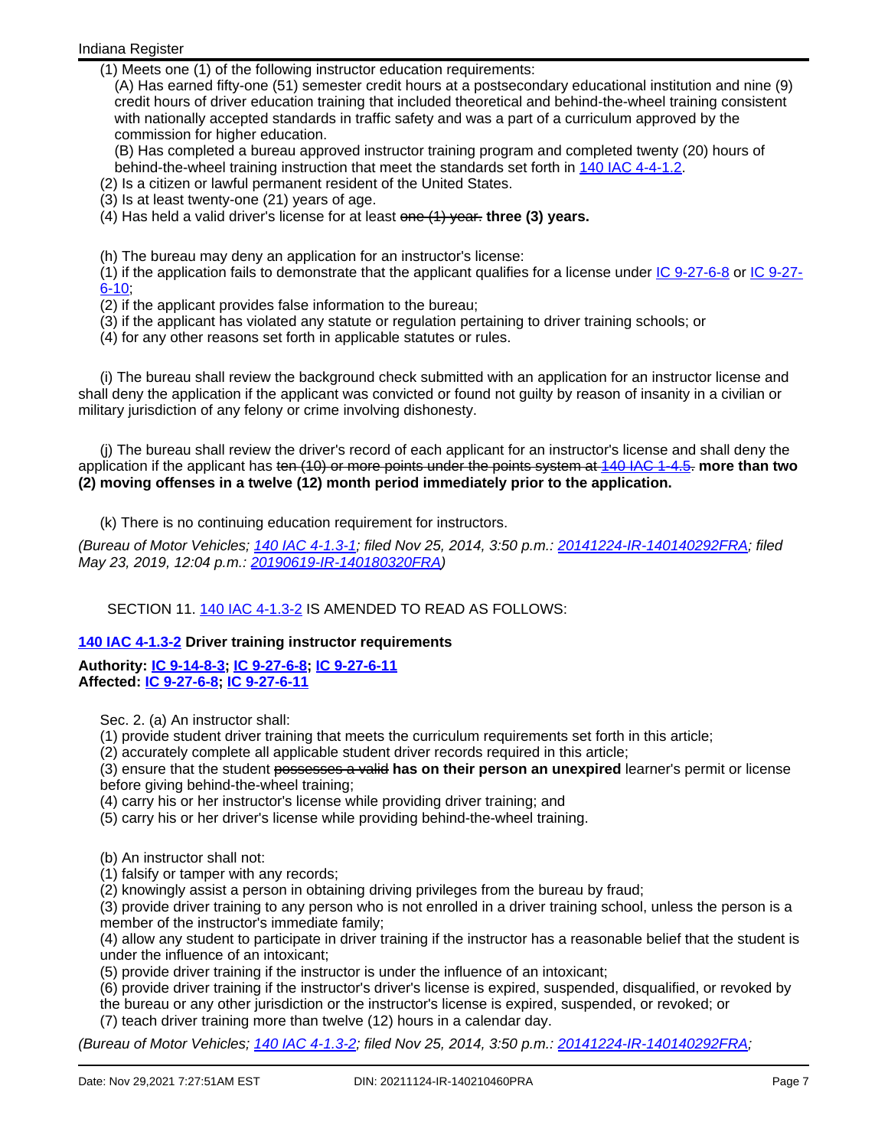Indiana Register

(1) Meets one (1) of the following instructor education requirements:

(A) Has earned fifty-one (51) semester credit hours at a postsecondary educational institution and nine (9) credit hours of driver education training that included theoretical and behind-the-wheel training consistent with nationally accepted standards in traffic safety and was a part of a curriculum approved by the commission for higher education.

(B) Has completed a bureau approved instructor training program and completed twenty (20) hours of behind-the-wheel training instruction that meet the standards set forth in 140 IAC [4-4-1.2](http://www.in.gov/legislative/iac/iac_title?iact=140&iaca=4).

(2) Is a citizen or lawful permanent resident of the United States.

(3) Is at least twenty-one (21) years of age.

(4) Has held a valid driver's license for at least one (1) year. **three (3) years.**

(h) The bureau may deny an application for an instructor's license:

(1) if the application fails to demonstrate that the applicant qualifies for a license under IC [9-27-6-8](http://www.in.gov/legislative/iac/ic?t=9&a=27&c=6&s=8) or IC [9-27-](http://www.in.gov/legislative/iac/ic?t=9&a=27&c=6&s=10) [6-10](http://www.in.gov/legislative/iac/ic?t=9&a=27&c=6&s=10);

- (2) if the applicant provides false information to the bureau;
- (3) if the applicant has violated any statute or regulation pertaining to driver training schools; or
- (4) for any other reasons set forth in applicable statutes or rules.

(i) The bureau shall review the background check submitted with an application for an instructor license and shall deny the application if the applicant was convicted or found not guilty by reason of insanity in a civilian or military jurisdiction of any felony or crime involving dishonesty.

(j) The bureau shall review the driver's record of each applicant for an instructor's license and shall deny the application if the applicant has ten (10) or more points under the points system at 140 IAC [1-4.5](http://www.in.gov/legislative/iac/iac_title?iact=140&iaca=1). **more than two (2) moving offenses in a twelve (12) month period immediately prior to the application.**

(k) There is no continuing education requirement for instructors.

(Bureau of Motor Vehicles; 140 IAC [4-1.3-1;](http://www.in.gov/legislative/iac/iac_title?iact=140&iaca=4) filed Nov 25, 2014, 3:50 p.m.: [20141224-IR-140140292FRA;](http://www.in.gov/legislative/iac/irdin.pdf?din=20141224-IR-140140292FRA) filed May 23, 2019, 12:04 p.m.: [20190619-IR-140180320FRA](http://www.in.gov/legislative/iac/irdin.pdf?din=20190619-IR-140180320FRA))

SECTION 11. 140 IAC [4-1.3-2](http://www.in.gov/legislative/iac/iac_title?iact=140&iaca=4) IS AMENDED TO READ AS FOLLOWS:

## **140 IAC [4-1.3-2](http://www.in.gov/legislative/iac/iac_title?iact=140&iaca=4) Driver training instructor requirements**

**Authority: IC [9-14-8-3](http://www.in.gov/legislative/iac/ic?t=9&a=14&c=8&s=3); IC [9-27-6-8;](http://www.in.gov/legislative/iac/ic?t=9&a=27&c=6&s=8) IC [9-27-6-11](http://www.in.gov/legislative/iac/ic?t=9&a=27&c=6&s=11) Affected: IC [9-27-6-8;](http://www.in.gov/legislative/iac/ic?t=9&a=27&c=6&s=8) IC [9-27-6-11](http://www.in.gov/legislative/iac/ic?t=9&a=27&c=6&s=11)**

Sec. 2. (a) An instructor shall:

(1) provide student driver training that meets the curriculum requirements set forth in this article;

(2) accurately complete all applicable student driver records required in this article;

(3) ensure that the student possesses a valid **has on their person an unexpired** learner's permit or license before giving behind-the-wheel training;

(4) carry his or her instructor's license while providing driver training; and

(5) carry his or her driver's license while providing behind-the-wheel training.

(b) An instructor shall not:

(1) falsify or tamper with any records;

(2) knowingly assist a person in obtaining driving privileges from the bureau by fraud;

(3) provide driver training to any person who is not enrolled in a driver training school, unless the person is a member of the instructor's immediate family;

(4) allow any student to participate in driver training if the instructor has a reasonable belief that the student is under the influence of an intoxicant;

(5) provide driver training if the instructor is under the influence of an intoxicant;

(6) provide driver training if the instructor's driver's license is expired, suspended, disqualified, or revoked by

the bureau or any other jurisdiction or the instructor's license is expired, suspended, or revoked; or (7) teach driver training more than twelve (12) hours in a calendar day.

(Bureau of Motor Vehicles; 140 IAC [4-1.3-2;](http://www.in.gov/legislative/iac/iac_title?iact=140&iaca=4) filed Nov 25, 2014, 3:50 p.m.: [20141224-IR-140140292FRA;](http://www.in.gov/legislative/iac/irdin.pdf?din=20141224-IR-140140292FRA)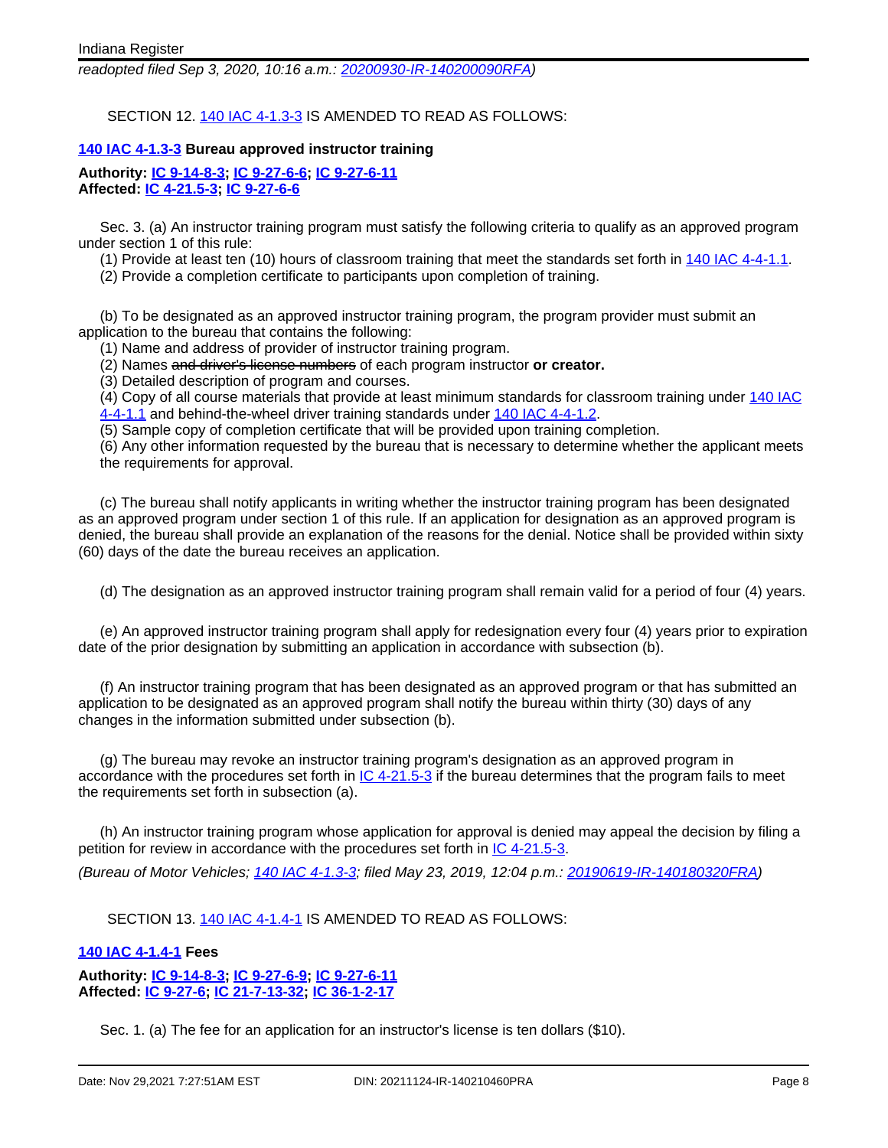readopted filed Sep 3, 2020, 10:16 a.m.: [20200930-IR-140200090RFA](http://www.in.gov/legislative/iac/irdin.pdf?din=20200930-IR-140200090RFA))

SECTION 12. 140 IAC [4-1.3-3](http://www.in.gov/legislative/iac/iac_title?iact=140&iaca=4) IS AMENDED TO READ AS FOLLOWS:

#### **140 IAC [4-1.3-3](http://www.in.gov/legislative/iac/iac_title?iact=140&iaca=4) Bureau approved instructor training**

**Authority: IC [9-14-8-3](http://www.in.gov/legislative/iac/ic?t=9&a=14&c=8&s=3); IC [9-27-6-6;](http://www.in.gov/legislative/iac/ic?t=9&a=27&c=6&s=6) IC [9-27-6-11](http://www.in.gov/legislative/iac/ic?t=9&a=27&c=6&s=11) Affected: IC [4-21.5-3](http://www.in.gov/legislative/iac/ic?t=4&a=21.5&c=3); IC [9-27-6-6](http://www.in.gov/legislative/iac/ic?t=9&a=27&c=6&s=6)**

Sec. 3. (a) An instructor training program must satisfy the following criteria to qualify as an approved program under section 1 of this rule:

(1) Provide at least ten (10) hours of classroom training that meet the standards set forth in 140 IAC [4-4-1.1.](http://www.in.gov/legislative/iac/iac_title?iact=140&iaca=4)

(2) Provide a completion certificate to participants upon completion of training.

(b) To be designated as an approved instructor training program, the program provider must submit an application to the bureau that contains the following:

(1) Name and address of provider of instructor training program.

(2) Names and driver's license numbers of each program instructor **or creator.**

(3) Detailed description of program and courses.

(4) Copy of all course materials that provide at least minimum standards for classroom training under [140](http://www.in.gov/legislative/iac/iac_title?iact=140&iaca=4) IAC

[4-4-1.1](http://www.in.gov/legislative/iac/iac_title?iact=140&iaca=4) and behind-the-wheel driver training standards under 140 IAC [4-4-1.2](http://www.in.gov/legislative/iac/iac_title?iact=140&iaca=4).

(5) Sample copy of completion certificate that will be provided upon training completion.

(6) Any other information requested by the bureau that is necessary to determine whether the applicant meets the requirements for approval.

(c) The bureau shall notify applicants in writing whether the instructor training program has been designated as an approved program under section 1 of this rule. If an application for designation as an approved program is denied, the bureau shall provide an explanation of the reasons for the denial. Notice shall be provided within sixty (60) days of the date the bureau receives an application.

(d) The designation as an approved instructor training program shall remain valid for a period of four (4) years.

(e) An approved instructor training program shall apply for redesignation every four (4) years prior to expiration date of the prior designation by submitting an application in accordance with subsection (b).

(f) An instructor training program that has been designated as an approved program or that has submitted an application to be designated as an approved program shall notify the bureau within thirty (30) days of any changes in the information submitted under subsection (b).

(g) The bureau may revoke an instructor training program's designation as an approved program in accordance with the procedures set forth in  $IC$  [4-21.5-3](http://www.in.gov/legislative/iac/ic?t=4&a=21.5&c=3) if the bureau determines that the program fails to meet the requirements set forth in subsection (a).

(h) An instructor training program whose application for approval is denied may appeal the decision by filing a petition for review in accordance with the procedures set forth in IC [4-21.5-3.](http://www.in.gov/legislative/iac/ic?t=4&a=21.5&c=3)

(Bureau of Motor Vehicles; 140 IAC [4-1.3-3;](http://www.in.gov/legislative/iac/iac_title?iact=140&iaca=4) filed May 23, 2019, 12:04 p.m.: [20190619-IR-140180320FRA\)](http://www.in.gov/legislative/iac/irdin.pdf?din=20190619-IR-140180320FRA)

SECTION 13. 140 IAC [4-1.4-1](http://www.in.gov/legislative/iac/iac_title?iact=140&iaca=4) IS AMENDED TO READ AS FOLLOWS:

#### **140 IAC [4-1.4-1](http://www.in.gov/legislative/iac/iac_title?iact=140&iaca=4) Fees**

**Authority: IC [9-14-8-3](http://www.in.gov/legislative/iac/ic?t=9&a=14&c=8&s=3); IC [9-27-6-9;](http://www.in.gov/legislative/iac/ic?t=9&a=27&c=6&s=9) IC [9-27-6-11](http://www.in.gov/legislative/iac/ic?t=9&a=27&c=6&s=11) Affected: IC [9-27-6;](http://www.in.gov/legislative/iac/ic?t=9&a=27&c=6) IC [21-7-13-32;](http://www.in.gov/legislative/iac/ic?t=21&a=7&c=13&s=32) IC [36-1-2-17](http://www.in.gov/legislative/iac/ic?t=36&a=1&c=2&s=17)**

Sec. 1. (a) The fee for an application for an instructor's license is ten dollars (\$10).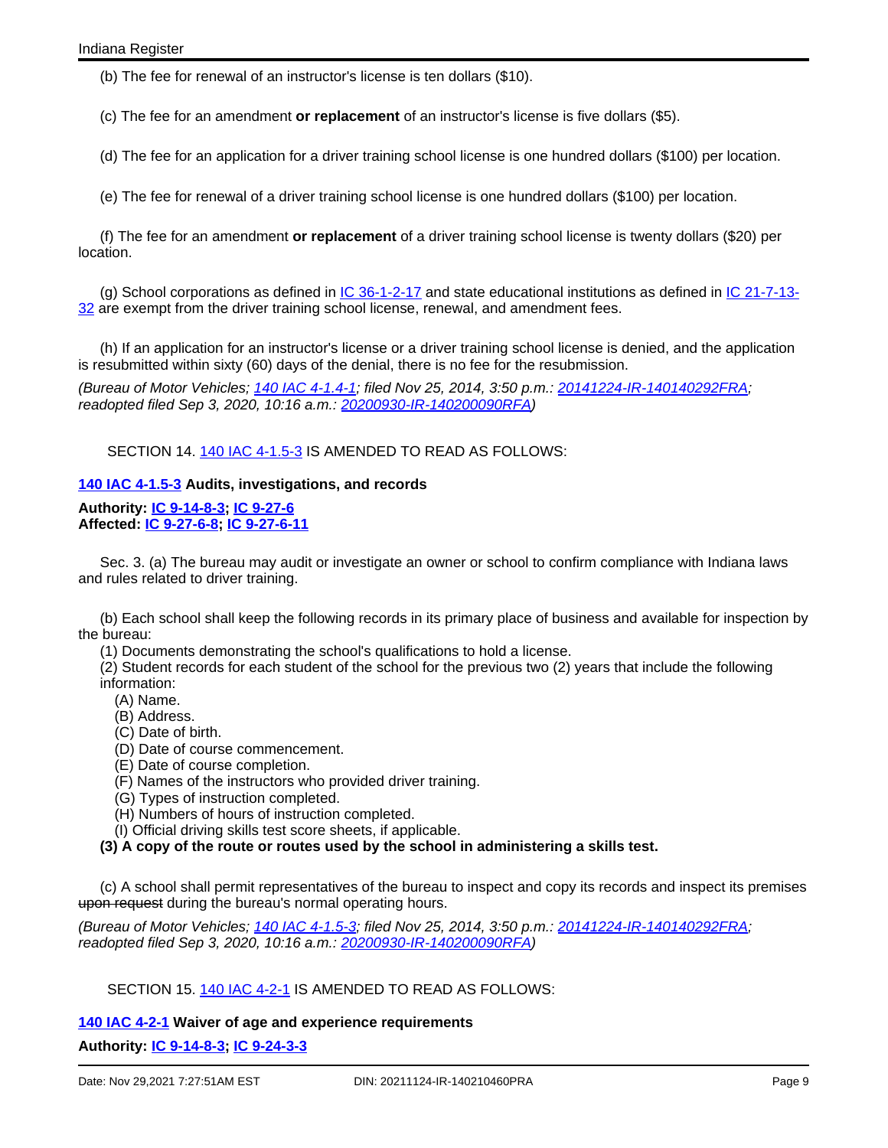(b) The fee for renewal of an instructor's license is ten dollars (\$10).

(c) The fee for an amendment **or replacement** of an instructor's license is five dollars (\$5).

(d) The fee for an application for a driver training school license is one hundred dollars (\$100) per location.

(e) The fee for renewal of a driver training school license is one hundred dollars (\$100) per location.

(f) The fee for an amendment **or replacement** of a driver training school license is twenty dollars (\$20) per location.

(g) School corporations as defined in *IC [36-1-2-17](http://www.in.gov/legislative/iac/ic?t=36&a=1&c=2&s=17)* and state educational institutions as defined in *IC [21-7-13-](http://www.in.gov/legislative/iac/ic?t=21&a=7&c=13&s=32)* [32](http://www.in.gov/legislative/iac/ic?t=21&a=7&c=13&s=32) are exempt from the driver training school license, renewal, and amendment fees.

(h) If an application for an instructor's license or a driver training school license is denied, and the application is resubmitted within sixty (60) days of the denial, there is no fee for the resubmission.

(Bureau of Motor Vehicles; 140 IAC [4-1.4-1;](http://www.in.gov/legislative/iac/iac_title?iact=140&iaca=4) filed Nov 25, 2014, 3:50 p.m.: [20141224-IR-140140292FRA;](http://www.in.gov/legislative/iac/irdin.pdf?din=20141224-IR-140140292FRA) readopted filed Sep 3, 2020, 10:16 a.m.: [20200930-IR-140200090RFA](http://www.in.gov/legislative/iac/irdin.pdf?din=20200930-IR-140200090RFA))

SECTION 14. 140 IAC [4-1.5-3](http://www.in.gov/legislative/iac/iac_title?iact=140&iaca=4) IS AMENDED TO READ AS FOLLOWS:

## **140 IAC [4-1.5-3](http://www.in.gov/legislative/iac/iac_title?iact=140&iaca=4) Audits, investigations, and records**

**Authority: IC [9-14-8-3](http://www.in.gov/legislative/iac/ic?t=9&a=14&c=8&s=3); IC [9-27-6](http://www.in.gov/legislative/iac/ic?t=9&a=27&c=6) Affected: IC [9-27-6-8;](http://www.in.gov/legislative/iac/ic?t=9&a=27&c=6&s=8) IC [9-27-6-11](http://www.in.gov/legislative/iac/ic?t=9&a=27&c=6&s=11)**

Sec. 3. (a) The bureau may audit or investigate an owner or school to confirm compliance with Indiana laws and rules related to driver training.

(b) Each school shall keep the following records in its primary place of business and available for inspection by the bureau:

(1) Documents demonstrating the school's qualifications to hold a license.

(2) Student records for each student of the school for the previous two (2) years that include the following information:

- (A) Name.
- (B) Address.
- (C) Date of birth.
- (D) Date of course commencement.
- (E) Date of course completion.
- (F) Names of the instructors who provided driver training.
- (G) Types of instruction completed.
- (H) Numbers of hours of instruction completed.
- (I) Official driving skills test score sheets, if applicable.

**(3) A copy of the route or routes used by the school in administering a skills test.**

(c) A school shall permit representatives of the bureau to inspect and copy its records and inspect its premises upon request during the bureau's normal operating hours.

(Bureau of Motor Vehicles; 140 IAC [4-1.5-3;](http://www.in.gov/legislative/iac/iac_title?iact=140&iaca=4) filed Nov 25, 2014, 3:50 p.m.: [20141224-IR-140140292FRA;](http://www.in.gov/legislative/iac/irdin.pdf?din=20141224-IR-140140292FRA) readopted filed Sep 3, 2020, 10:16 a.m.: [20200930-IR-140200090RFA](http://www.in.gov/legislative/iac/irdin.pdf?din=20200930-IR-140200090RFA))

SECTION 15. 140 IAC [4-2-1](http://www.in.gov/legislative/iac/iac_title?iact=140&iaca=4) IS AMENDED TO READ AS FOLLOWS:

## **140 IAC [4-2-1](http://www.in.gov/legislative/iac/iac_title?iact=140&iaca=4) Waiver of age and experience requirements**

**Authority: IC [9-14-8-3](http://www.in.gov/legislative/iac/ic?t=9&a=14&c=8&s=3); IC [9-24-3-3](http://www.in.gov/legislative/iac/ic?t=9&a=24&c=3&s=3)**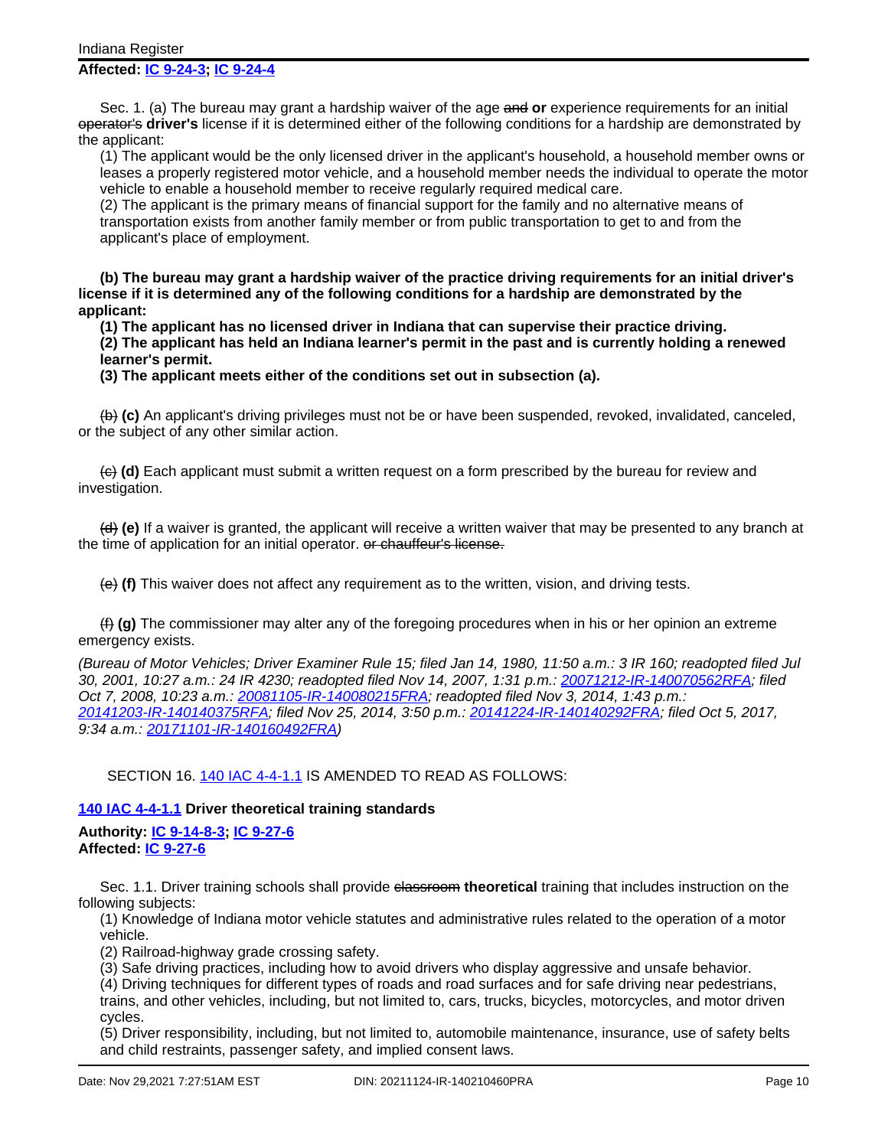#### **Affected: IC [9-24-3;](http://www.in.gov/legislative/iac/ic?t=9&a=24&c=3) IC [9-24-4](http://www.in.gov/legislative/iac/ic?t=9&a=24&c=4)**

Sec. 1. (a) The bureau may grant a hardship waiver of the age and **or** experience requirements for an initial operator's **driver's** license if it is determined either of the following conditions for a hardship are demonstrated by the applicant:

(1) The applicant would be the only licensed driver in the applicant's household, a household member owns or leases a properly registered motor vehicle, and a household member needs the individual to operate the motor vehicle to enable a household member to receive regularly required medical care.

(2) The applicant is the primary means of financial support for the family and no alternative means of transportation exists from another family member or from public transportation to get to and from the applicant's place of employment.

**(b) The bureau may grant a hardship waiver of the practice driving requirements for an initial driver's license if it is determined any of the following conditions for a hardship are demonstrated by the applicant:**

**(1) The applicant has no licensed driver in Indiana that can supervise their practice driving.**

**(2) The applicant has held an Indiana learner's permit in the past and is currently holding a renewed learner's permit.**

**(3) The applicant meets either of the conditions set out in subsection (a).**

(b) **(c)** An applicant's driving privileges must not be or have been suspended, revoked, invalidated, canceled, or the subject of any other similar action.

(c) **(d)** Each applicant must submit a written request on a form prescribed by the bureau for review and investigation.

(d) **(e)** If a waiver is granted, the applicant will receive a written waiver that may be presented to any branch at the time of application for an initial operator. or chauffeur's license.

(e) **(f)** This waiver does not affect any requirement as to the written, vision, and driving tests.

(f) **(g)** The commissioner may alter any of the foregoing procedures when in his or her opinion an extreme emergency exists.

(Bureau of Motor Vehicles; Driver Examiner Rule 15; filed Jan 14, 1980, 11:50 a.m.: 3 IR 160; readopted filed Jul 30, 2001, 10:27 a.m.: 24 IR 4230; readopted filed Nov 14, 2007, 1:31 p.m.: [20071212-IR-140070562RFA](http://www.in.gov/legislative/iac/irdin.pdf?din=20071212-IR-140070562RFA); filed Oct 7, 2008, 10:23 a.m.: [20081105-IR-140080215FRA](http://www.in.gov/legislative/iac/irdin.pdf?din=20081105-IR-140080215FRA); readopted filed Nov 3, 2014, 1:43 p.m.: [20141203-IR-140140375RFA](http://www.in.gov/legislative/iac/irdin.pdf?din=20141203-IR-140140375RFA); filed Nov 25, 2014, 3:50 p.m.: [20141224-IR-140140292FRA](http://www.in.gov/legislative/iac/irdin.pdf?din=20141224-IR-140140292FRA); filed Oct 5, 2017, 9:34 a.m.: [20171101-IR-140160492FRA](http://www.in.gov/legislative/iac/irdin.pdf?din=20171101-IR-140160492FRA))

SECTION 16. 140 IAC [4-4-1.1](http://www.in.gov/legislative/iac/iac_title?iact=140&iaca=4) IS AMENDED TO READ AS FOLLOWS:

## **140 IAC [4-4-1.1](http://www.in.gov/legislative/iac/iac_title?iact=140&iaca=4) Driver theoretical training standards**

**Authority: IC [9-14-8-3](http://www.in.gov/legislative/iac/ic?t=9&a=14&c=8&s=3); IC [9-27-6](http://www.in.gov/legislative/iac/ic?t=9&a=27&c=6) Affected: IC [9-27-6](http://www.in.gov/legislative/iac/ic?t=9&a=27&c=6)**

Sec. 1.1. Driver training schools shall provide elassroom theoretical training that includes instruction on the following subjects:

(1) Knowledge of Indiana motor vehicle statutes and administrative rules related to the operation of a motor vehicle.

(2) Railroad-highway grade crossing safety.

(3) Safe driving practices, including how to avoid drivers who display aggressive and unsafe behavior.

(4) Driving techniques for different types of roads and road surfaces and for safe driving near pedestrians, trains, and other vehicles, including, but not limited to, cars, trucks, bicycles, motorcycles, and motor driven cycles.

(5) Driver responsibility, including, but not limited to, automobile maintenance, insurance, use of safety belts and child restraints, passenger safety, and implied consent laws.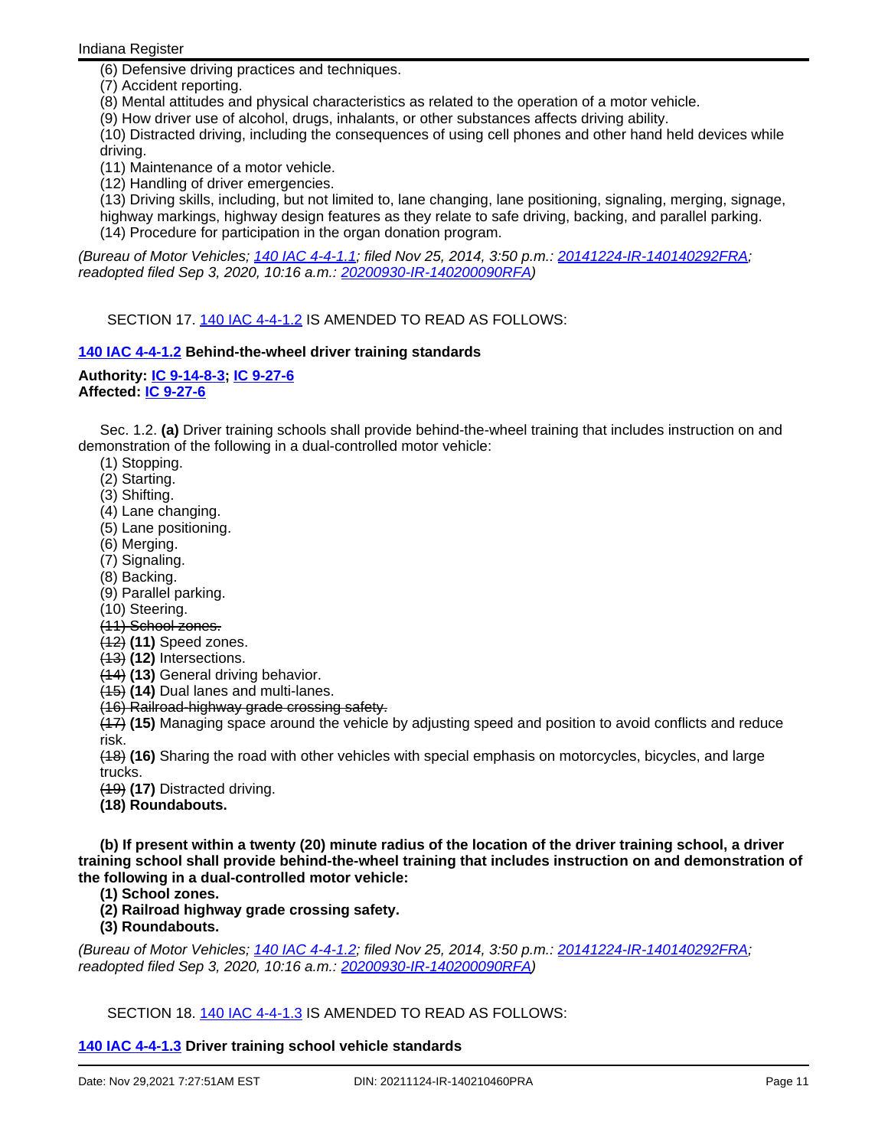(6) Defensive driving practices and techniques.

(7) Accident reporting.

(8) Mental attitudes and physical characteristics as related to the operation of a motor vehicle.

(9) How driver use of alcohol, drugs, inhalants, or other substances affects driving ability.

(10) Distracted driving, including the consequences of using cell phones and other hand held devices while driving.

(11) Maintenance of a motor vehicle.

(12) Handling of driver emergencies.

(13) Driving skills, including, but not limited to, lane changing, lane positioning, signaling, merging, signage,

highway markings, highway design features as they relate to safe driving, backing, and parallel parking. (14) Procedure for participation in the organ donation program.

(Bureau of Motor Vehicles; 140 IAC [4-4-1.1;](http://www.in.gov/legislative/iac/iac_title?iact=140&iaca=4) filed Nov 25, 2014, 3:50 p.m.: [20141224-IR-140140292FRA;](http://www.in.gov/legislative/iac/irdin.pdf?din=20141224-IR-140140292FRA) readopted filed Sep 3, 2020, 10:16 a.m.: [20200930-IR-140200090RFA](http://www.in.gov/legislative/iac/irdin.pdf?din=20200930-IR-140200090RFA))

SECTION 17. 140 IAC [4-4-1.2](http://www.in.gov/legislative/iac/iac_title?iact=140&iaca=4) IS AMENDED TO READ AS FOLLOWS:

## **140 IAC [4-4-1.2](http://www.in.gov/legislative/iac/iac_title?iact=140&iaca=4) Behind-the-wheel driver training standards**

# **Authority: IC [9-14-8-3](http://www.in.gov/legislative/iac/ic?t=9&a=14&c=8&s=3); IC [9-27-6](http://www.in.gov/legislative/iac/ic?t=9&a=27&c=6)**

**Affected: IC [9-27-6](http://www.in.gov/legislative/iac/ic?t=9&a=27&c=6)**

Sec. 1.2. **(a)** Driver training schools shall provide behind-the-wheel training that includes instruction on and demonstration of the following in a dual-controlled motor vehicle:

- (1) Stopping.
- (2) Starting.
- (3) Shifting.
- (4) Lane changing.
- (5) Lane positioning.
- (6) Merging.
- (7) Signaling.
- (8) Backing.
- (9) Parallel parking.
- (10) Steering.
- (11) School zones.
- (12) **(11)** Speed zones.
- (13) **(12)** Intersections.
- (14) **(13)** General driving behavior.
- (15) **(14)** Dual lanes and multi-lanes.
- (16) Railroad-highway grade crossing safety.

(17) **(15)** Managing space around the vehicle by adjusting speed and position to avoid conflicts and reduce risk.

(18) **(16)** Sharing the road with other vehicles with special emphasis on motorcycles, bicycles, and large trucks.

(19) **(17)** Distracted driving.

**(18) Roundabouts.**

**(b) If present within a twenty (20) minute radius of the location of the driver training school, a driver training school shall provide behind-the-wheel training that includes instruction on and demonstration of the following in a dual-controlled motor vehicle:**

**(1) School zones.**

**(2) Railroad highway grade crossing safety.**

**(3) Roundabouts.**

(Bureau of Motor Vehicles; 140 IAC [4-4-1.2;](http://www.in.gov/legislative/iac/iac_title?iact=140&iaca=4) filed Nov 25, 2014, 3:50 p.m.: [20141224-IR-140140292FRA;](http://www.in.gov/legislative/iac/irdin.pdf?din=20141224-IR-140140292FRA) readopted filed Sep 3, 2020, 10:16 a.m.: [20200930-IR-140200090RFA](http://www.in.gov/legislative/iac/irdin.pdf?din=20200930-IR-140200090RFA))

SECTION 18. 140 IAC [4-4-1.3](http://www.in.gov/legislative/iac/iac_title?iact=140&iaca=4) IS AMENDED TO READ AS FOLLOWS:

## **140 IAC [4-4-1.3](http://www.in.gov/legislative/iac/iac_title?iact=140&iaca=4) Driver training school vehicle standards**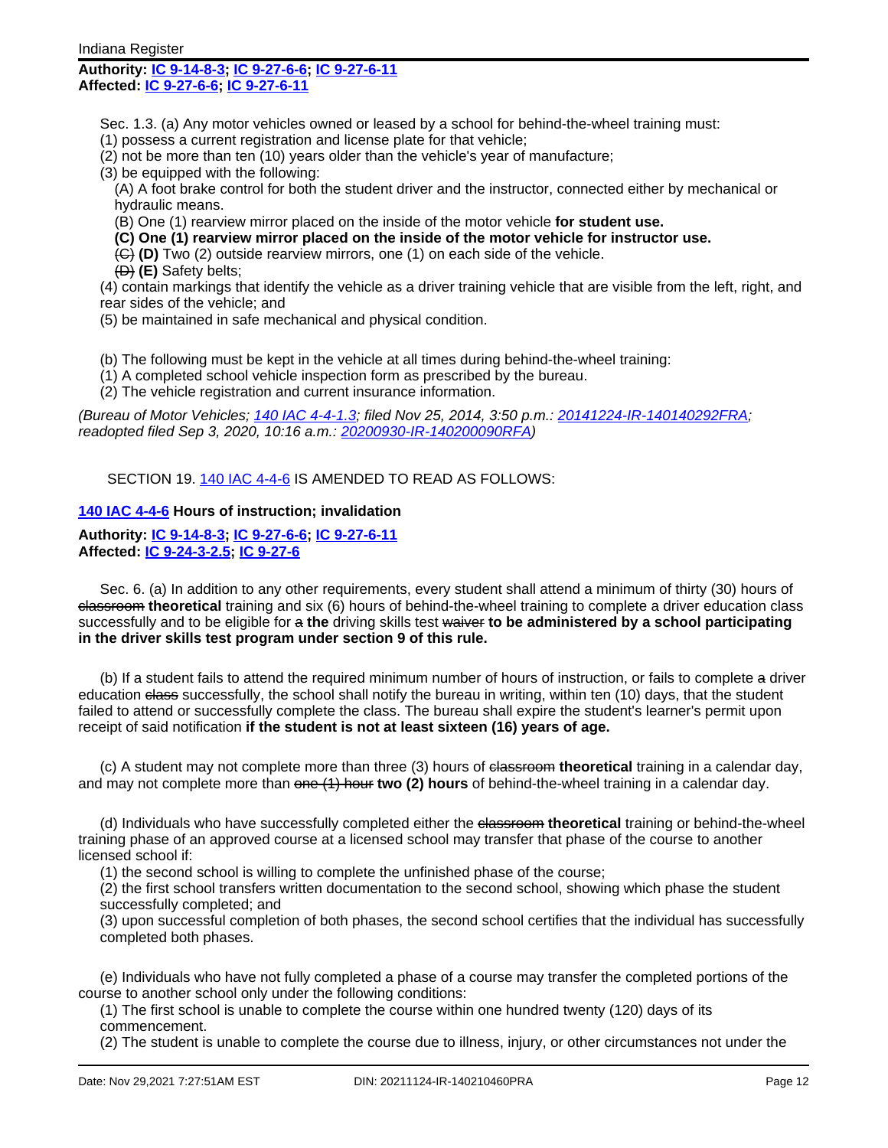## **Authority: IC [9-14-8-3](http://www.in.gov/legislative/iac/ic?t=9&a=14&c=8&s=3); IC [9-27-6-6;](http://www.in.gov/legislative/iac/ic?t=9&a=27&c=6&s=6) IC [9-27-6-11](http://www.in.gov/legislative/iac/ic?t=9&a=27&c=6&s=11) Affected: IC [9-27-6-6;](http://www.in.gov/legislative/iac/ic?t=9&a=27&c=6&s=6) IC [9-27-6-11](http://www.in.gov/legislative/iac/ic?t=9&a=27&c=6&s=11)**

- Sec. 1.3. (a) Any motor vehicles owned or leased by a school for behind-the-wheel training must:
- (1) possess a current registration and license plate for that vehicle;
- (2) not be more than ten (10) years older than the vehicle's year of manufacture;
- (3) be equipped with the following:
- (A) A foot brake control for both the student driver and the instructor, connected either by mechanical or hydraulic means.
- (B) One (1) rearview mirror placed on the inside of the motor vehicle **for student use.**
- **(C) One (1) rearview mirror placed on the inside of the motor vehicle for instructor use.**
- (C) **(D)** Two (2) outside rearview mirrors, one (1) on each side of the vehicle.
- (D) **(E)** Safety belts;

(4) contain markings that identify the vehicle as a driver training vehicle that are visible from the left, right, and rear sides of the vehicle; and

- (5) be maintained in safe mechanical and physical condition.
- (b) The following must be kept in the vehicle at all times during behind-the-wheel training:
- (1) A completed school vehicle inspection form as prescribed by the bureau.
- (2) The vehicle registration and current insurance information.

(Bureau of Motor Vehicles; 140 IAC [4-4-1.3;](http://www.in.gov/legislative/iac/iac_title?iact=140&iaca=4) filed Nov 25, 2014, 3:50 p.m.: [20141224-IR-140140292FRA;](http://www.in.gov/legislative/iac/irdin.pdf?din=20141224-IR-140140292FRA) readopted filed Sep 3, 2020, 10:16 a.m.: [20200930-IR-140200090RFA](http://www.in.gov/legislative/iac/irdin.pdf?din=20200930-IR-140200090RFA))

SECTION 19. 140 IAC [4-4-6](http://www.in.gov/legislative/iac/iac_title?iact=140&iaca=4) IS AMENDED TO READ AS FOLLOWS:

## **140 IAC [4-4-6](http://www.in.gov/legislative/iac/iac_title?iact=140&iaca=4) Hours of instruction; invalidation**

#### **Authority: IC [9-14-8-3](http://www.in.gov/legislative/iac/ic?t=9&a=14&c=8&s=3); IC [9-27-6-6;](http://www.in.gov/legislative/iac/ic?t=9&a=27&c=6&s=6) IC [9-27-6-11](http://www.in.gov/legislative/iac/ic?t=9&a=27&c=6&s=11) Affected: IC [9-24-3-2.5](http://www.in.gov/legislative/iac/ic?t=9&a=24&c=3&s=2.5); IC [9-27-6](http://www.in.gov/legislative/iac/ic?t=9&a=27&c=6)**

Sec. 6. (a) In addition to any other requirements, every student shall attend a minimum of thirty (30) hours of classroom **theoretical** training and six (6) hours of behind-the-wheel training to complete a driver education class successfully and to be eligible for a **the** driving skills test waiver **to be administered by a school participating in the driver skills test program under section 9 of this rule.**

(b) If a student fails to attend the required minimum number of hours of instruction, or fails to complete a driver education class successfully, the school shall notify the bureau in writing, within ten (10) days, that the student failed to attend or successfully complete the class. The bureau shall expire the student's learner's permit upon receipt of said notification **if the student is not at least sixteen (16) years of age.**

(c) A student may not complete more than three (3) hours of classroom **theoretical** training in a calendar day, and may not complete more than one (1) hour **two (2) hours** of behind-the-wheel training in a calendar day.

(d) Individuals who have successfully completed either the classroom **theoretical** training or behind-the-wheel training phase of an approved course at a licensed school may transfer that phase of the course to another licensed school if:

(1) the second school is willing to complete the unfinished phase of the course;

(2) the first school transfers written documentation to the second school, showing which phase the student successfully completed; and

(3) upon successful completion of both phases, the second school certifies that the individual has successfully completed both phases.

(e) Individuals who have not fully completed a phase of a course may transfer the completed portions of the course to another school only under the following conditions:

(1) The first school is unable to complete the course within one hundred twenty (120) days of its commencement.

(2) The student is unable to complete the course due to illness, injury, or other circumstances not under the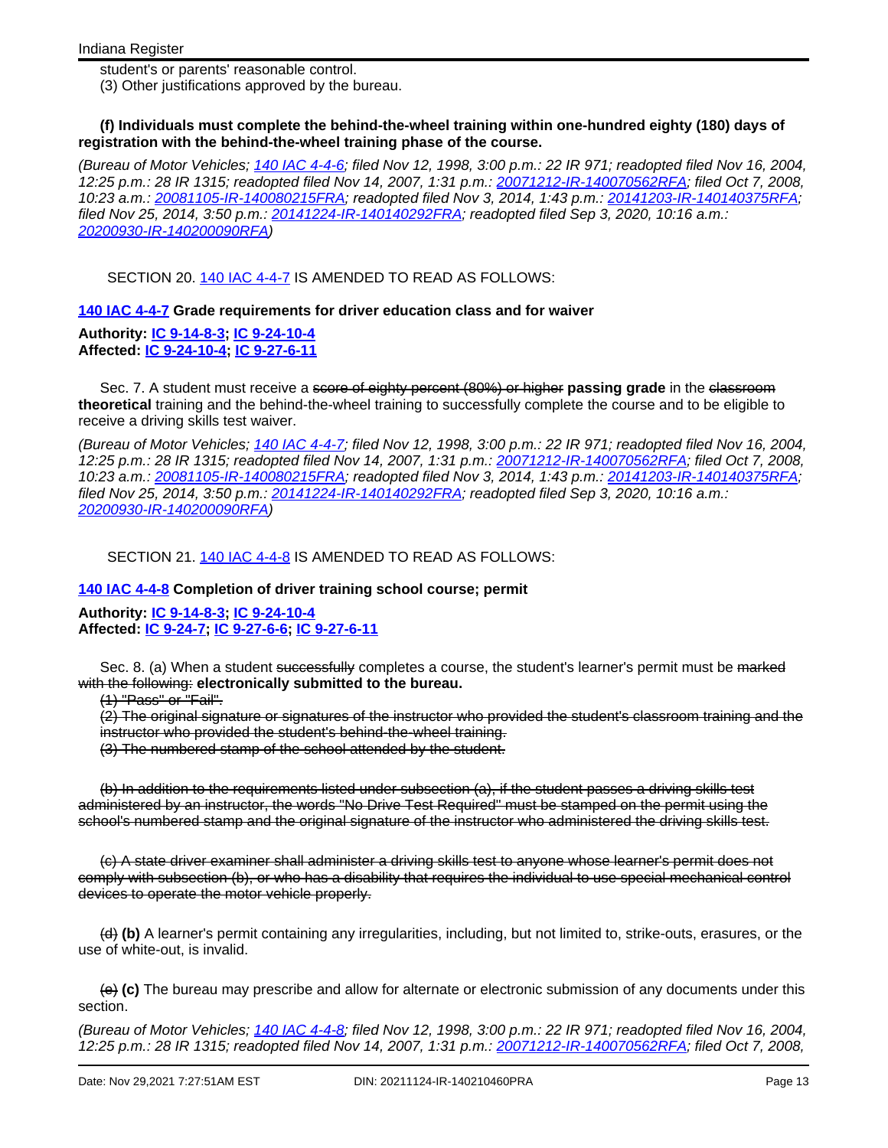student's or parents' reasonable control.

(3) Other justifications approved by the bureau.

#### **(f) Individuals must complete the behind-the-wheel training within one-hundred eighty (180) days of registration with the behind-the-wheel training phase of the course.**

(Bureau of Motor Vehicles; 140 IAC [4-4-6](http://www.in.gov/legislative/iac/iac_title?iact=140&iaca=4); filed Nov 12, 1998, 3:00 p.m.: 22 IR 971; readopted filed Nov 16, 2004, 12:25 p.m.: 28 IR 1315; readopted filed Nov 14, 2007, 1:31 p.m.: [20071212-IR-140070562RFA;](http://www.in.gov/legislative/iac/irdin.pdf?din=20071212-IR-140070562RFA) filed Oct 7, 2008, 10:23 a.m.: [20081105-IR-140080215FRA;](http://www.in.gov/legislative/iac/irdin.pdf?din=20081105-IR-140080215FRA) readopted filed Nov 3, 2014, 1:43 p.m.: [20141203-IR-140140375RFA](http://www.in.gov/legislative/iac/irdin.pdf?din=20141203-IR-140140375RFA); filed Nov 25, 2014, 3:50 p.m.: [20141224-IR-140140292FRA;](http://www.in.gov/legislative/iac/irdin.pdf?din=20141224-IR-140140292FRA) readopted filed Sep 3, 2020, 10:16 a.m.: [20200930-IR-140200090RFA](http://www.in.gov/legislative/iac/irdin.pdf?din=20200930-IR-140200090RFA))

SECTION 20. 140 IAC [4-4-7](http://www.in.gov/legislative/iac/iac_title?iact=140&iaca=4) IS AMENDED TO READ AS FOLLOWS:

**140 IAC [4-4-7](http://www.in.gov/legislative/iac/iac_title?iact=140&iaca=4) Grade requirements for driver education class and for waiver**

**Authority: IC [9-14-8-3](http://www.in.gov/legislative/iac/ic?t=9&a=14&c=8&s=3); IC [9-24-10-4](http://www.in.gov/legislative/iac/ic?t=9&a=24&c=10&s=4) Affected: IC [9-24-10-4](http://www.in.gov/legislative/iac/ic?t=9&a=24&c=10&s=4); IC [9-27-6-11](http://www.in.gov/legislative/iac/ic?t=9&a=27&c=6&s=11)**

Sec. 7. A student must receive a <del>score of eighty percent (80%) or higher</del> **passing grade** in the classroom **theoretical** training and the behind-the-wheel training to successfully complete the course and to be eligible to receive a driving skills test waiver.

(Bureau of Motor Vehicles; 140 IAC [4-4-7](http://www.in.gov/legislative/iac/iac_title?iact=140&iaca=4); filed Nov 12, 1998, 3:00 p.m.: 22 IR 971; readopted filed Nov 16, 2004, 12:25 p.m.: 28 IR 1315; readopted filed Nov 14, 2007, 1:31 p.m.: [20071212-IR-140070562RFA;](http://www.in.gov/legislative/iac/irdin.pdf?din=20071212-IR-140070562RFA) filed Oct 7, 2008, 10:23 a.m.: [20081105-IR-140080215FRA;](http://www.in.gov/legislative/iac/irdin.pdf?din=20081105-IR-140080215FRA) readopted filed Nov 3, 2014, 1:43 p.m.: [20141203-IR-140140375RFA](http://www.in.gov/legislative/iac/irdin.pdf?din=20141203-IR-140140375RFA); filed Nov 25, 2014, 3:50 p.m.: [20141224-IR-140140292FRA;](http://www.in.gov/legislative/iac/irdin.pdf?din=20141224-IR-140140292FRA) readopted filed Sep 3, 2020, 10:16 a.m.: [20200930-IR-140200090RFA](http://www.in.gov/legislative/iac/irdin.pdf?din=20200930-IR-140200090RFA))

SECTION 21. 140 IAC [4-4-8](http://www.in.gov/legislative/iac/iac_title?iact=140&iaca=4) IS AMENDED TO READ AS FOLLOWS:

**140 IAC [4-4-8](http://www.in.gov/legislative/iac/iac_title?iact=140&iaca=4) Completion of driver training school course; permit**

**Authority: IC [9-14-8-3](http://www.in.gov/legislative/iac/ic?t=9&a=14&c=8&s=3); IC [9-24-10-4](http://www.in.gov/legislative/iac/ic?t=9&a=24&c=10&s=4) Affected: IC [9-24-7;](http://www.in.gov/legislative/iac/ic?t=9&a=24&c=7) IC [9-27-6-6](http://www.in.gov/legislative/iac/ic?t=9&a=27&c=6&s=6); IC [9-27-6-11](http://www.in.gov/legislative/iac/ic?t=9&a=27&c=6&s=11)**

Sec. 8. (a) When a student successfully completes a course, the student's learner's permit must be marked with the following: **electronically submitted to the bureau.**

(1) "Pass" or "Fail".

(2) The original signature or signatures of the instructor who provided the student's classroom training and the instructor who provided the student's behind-the-wheel training.

(3) The numbered stamp of the school attended by the student.

(b) In addition to the requirements listed under subsection (a), if the student passes a driving skills test administered by an instructor, the words "No Drive Test Required" must be stamped on the permit using the school's numbered stamp and the original signature of the instructor who administered the driving skills test.

(c) A state driver examiner shall administer a driving skills test to anyone whose learner's permit does not comply with subsection (b), or who has a disability that requires the individual to use special mechanical control devices to operate the motor vehicle properly.

(d) **(b)** A learner's permit containing any irregularities, including, but not limited to, strike-outs, erasures, or the use of white-out, is invalid.

(e) **(c)** The bureau may prescribe and allow for alternate or electronic submission of any documents under this section.

(Bureau of Motor Vehicles; 140 IAC [4-4-8](http://www.in.gov/legislative/iac/iac_title?iact=140&iaca=4); filed Nov 12, 1998, 3:00 p.m.: 22 IR 971; readopted filed Nov 16, 2004, 12:25 p.m.: 28 IR 1315; readopted filed Nov 14, 2007, 1:31 p.m.: [20071212-IR-140070562RFA;](http://www.in.gov/legislative/iac/irdin.pdf?din=20071212-IR-140070562RFA) filed Oct 7, 2008,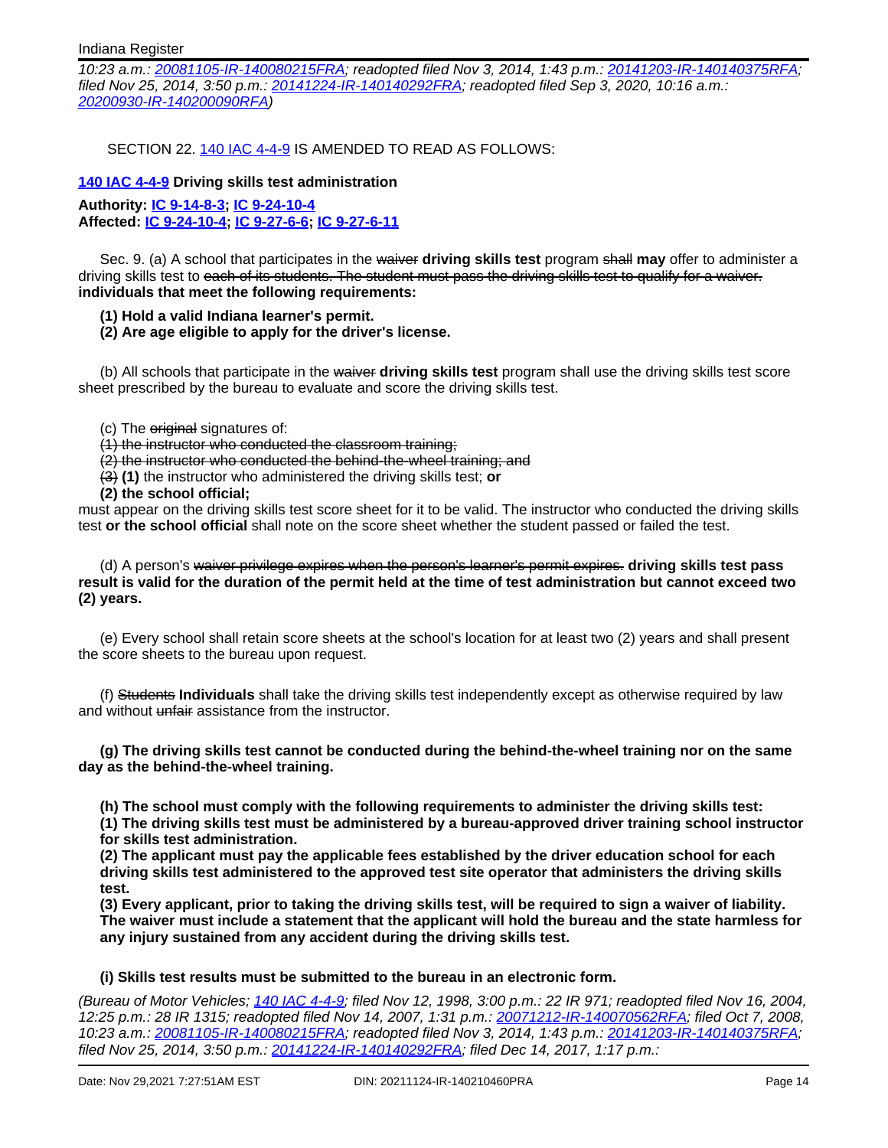10:23 a.m.: [20081105-IR-140080215FRA;](http://www.in.gov/legislative/iac/irdin.pdf?din=20081105-IR-140080215FRA) readopted filed Nov 3, 2014, 1:43 p.m.: [20141203-IR-140140375RFA](http://www.in.gov/legislative/iac/irdin.pdf?din=20141203-IR-140140375RFA); filed Nov 25, 2014, 3:50 p.m.: [20141224-IR-140140292FRA;](http://www.in.gov/legislative/iac/irdin.pdf?din=20141224-IR-140140292FRA) readopted filed Sep 3, 2020, 10:16 a.m.: [20200930-IR-140200090RFA](http://www.in.gov/legislative/iac/irdin.pdf?din=20200930-IR-140200090RFA))

SECTION 22. 140 IAC [4-4-9](http://www.in.gov/legislative/iac/iac_title?iact=140&iaca=4) IS AMENDED TO READ AS FOLLOWS:

#### **140 IAC [4-4-9](http://www.in.gov/legislative/iac/iac_title?iact=140&iaca=4) Driving skills test administration**

**Authority: IC [9-14-8-3](http://www.in.gov/legislative/iac/ic?t=9&a=14&c=8&s=3); IC [9-24-10-4](http://www.in.gov/legislative/iac/ic?t=9&a=24&c=10&s=4) Affected: IC [9-24-10-4](http://www.in.gov/legislative/iac/ic?t=9&a=24&c=10&s=4); IC [9-27-6-6;](http://www.in.gov/legislative/iac/ic?t=9&a=27&c=6&s=6) IC [9-27-6-11](http://www.in.gov/legislative/iac/ic?t=9&a=27&c=6&s=11)**

Sec. 9. (a) A school that participates in the waiver **driving skills test** program shall **may** offer to administer a driving skills test to each of its students. The student must pass the driving skills test to qualify for a waiver. **individuals that meet the following requirements:**

- **(1) Hold a valid Indiana learner's permit.**
- **(2) Are age eligible to apply for the driver's license.**

(b) All schools that participate in the waiver **driving skills test** program shall use the driving skills test score sheet prescribed by the bureau to evaluate and score the driving skills test.

- (c) The original signatures of:
- (1) the instructor who conducted the classroom training;

(2) the instructor who conducted the behind-the-wheel training; and

(3) **(1)** the instructor who administered the driving skills test; **or**

**(2) the school official;**

must appear on the driving skills test score sheet for it to be valid. The instructor who conducted the driving skills test **or the school official** shall note on the score sheet whether the student passed or failed the test.

(d) A person's waiver privilege expires when the person's learner's permit expires. **driving skills test pass result is valid for the duration of the permit held at the time of test administration but cannot exceed two (2) years.**

(e) Every school shall retain score sheets at the school's location for at least two (2) years and shall present the score sheets to the bureau upon request.

(f) Students **Individuals** shall take the driving skills test independently except as otherwise required by law and without unfair assistance from the instructor.

**(g) The driving skills test cannot be conducted during the behind-the-wheel training nor on the same day as the behind-the-wheel training.**

**(h) The school must comply with the following requirements to administer the driving skills test:**

**(1) The driving skills test must be administered by a bureau-approved driver training school instructor for skills test administration.**

**(2) The applicant must pay the applicable fees established by the driver education school for each driving skills test administered to the approved test site operator that administers the driving skills test.**

**(3) Every applicant, prior to taking the driving skills test, will be required to sign a waiver of liability. The waiver must include a statement that the applicant will hold the bureau and the state harmless for any injury sustained from any accident during the driving skills test.**

## **(i) Skills test results must be submitted to the bureau in an electronic form.**

(Bureau of Motor Vehicles; 140 IAC [4-4-9](http://www.in.gov/legislative/iac/iac_title?iact=140&iaca=4); filed Nov 12, 1998, 3:00 p.m.: 22 IR 971; readopted filed Nov 16, 2004, 12:25 p.m.: 28 IR 1315; readopted filed Nov 14, 2007, 1:31 p.m.: [20071212-IR-140070562RFA;](http://www.in.gov/legislative/iac/irdin.pdf?din=20071212-IR-140070562RFA) filed Oct 7, 2008, 10:23 a.m.: [20081105-IR-140080215FRA;](http://www.in.gov/legislative/iac/irdin.pdf?din=20081105-IR-140080215FRA) readopted filed Nov 3, 2014, 1:43 p.m.: [20141203-IR-140140375RFA](http://www.in.gov/legislative/iac/irdin.pdf?din=20141203-IR-140140375RFA); filed Nov 25, 2014, 3:50 p.m.: [20141224-IR-140140292FRA;](http://www.in.gov/legislative/iac/irdin.pdf?din=20141224-IR-140140292FRA) filed Dec 14, 2017, 1:17 p.m.: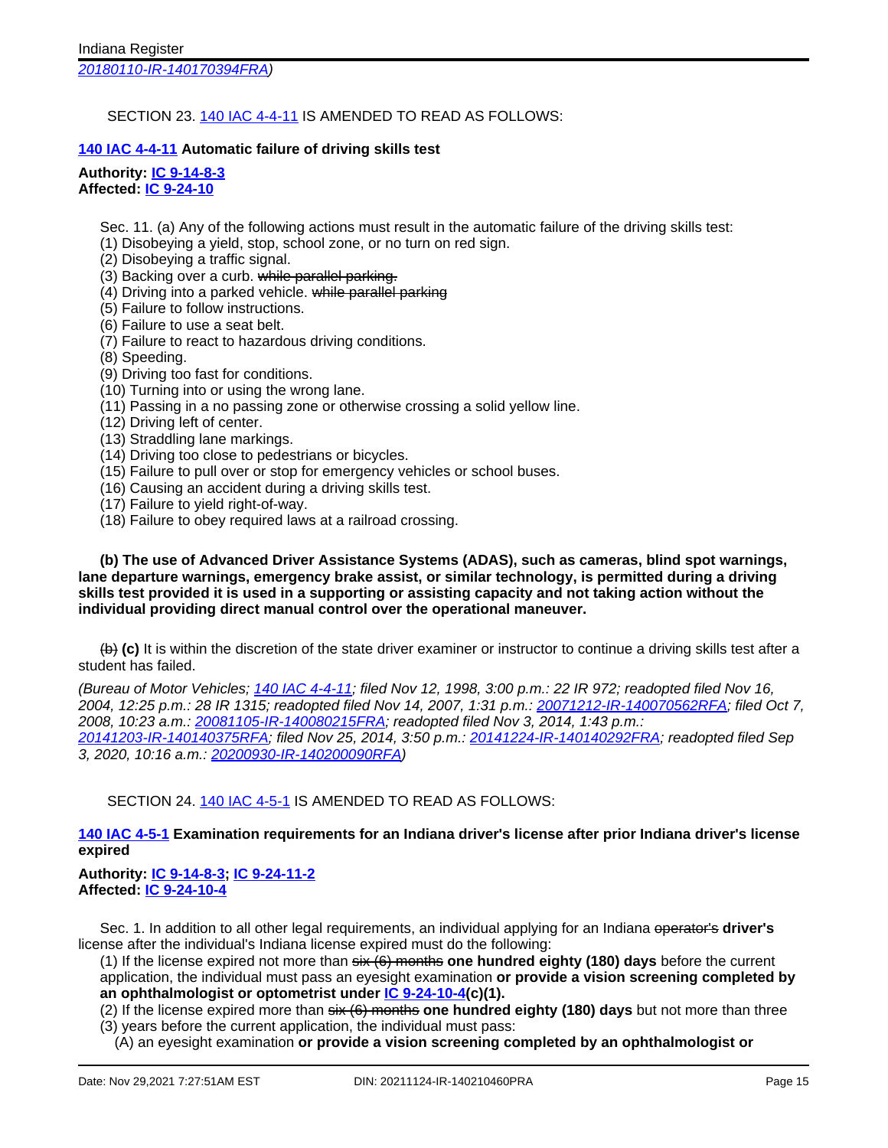[20180110-IR-140170394FRA](http://www.in.gov/legislative/iac/irdin.pdf?din=20180110-IR-140170394FRA))

## SECTION 23. 140 IAC [4-4-11](http://www.in.gov/legislative/iac/iac_title?iact=140&iaca=4) IS AMENDED TO READ AS FOLLOWS:

# **140 IAC [4-4-11](http://www.in.gov/legislative/iac/iac_title?iact=140&iaca=4) Automatic failure of driving skills test**

**Authority: IC [9-14-8-3](http://www.in.gov/legislative/iac/ic?t=9&a=14&c=8&s=3) Affected: IC [9-24-10](http://www.in.gov/legislative/iac/ic?t=9&a=24&c=10)**

Sec. 11. (a) Any of the following actions must result in the automatic failure of the driving skills test:

(1) Disobeying a yield, stop, school zone, or no turn on red sign.

(2) Disobeying a traffic signal.

(3) Backing over a curb. while parallel parking.

(4) Driving into a parked vehicle. while parallel parking

(5) Failure to follow instructions.

- (6) Failure to use a seat belt.
- (7) Failure to react to hazardous driving conditions.

(8) Speeding.

(9) Driving too fast for conditions.

- (10) Turning into or using the wrong lane.
- (11) Passing in a no passing zone or otherwise crossing a solid yellow line.
- (12) Driving left of center.
- (13) Straddling lane markings.
- (14) Driving too close to pedestrians or bicycles.
- (15) Failure to pull over or stop for emergency vehicles or school buses.
- (16) Causing an accident during a driving skills test.
- (17) Failure to yield right-of-way.
- (18) Failure to obey required laws at a railroad crossing.

**(b) The use of Advanced Driver Assistance Systems (ADAS), such as cameras, blind spot warnings, lane departure warnings, emergency brake assist, or similar technology, is permitted during a driving skills test provided it is used in a supporting or assisting capacity and not taking action without the individual providing direct manual control over the operational maneuver.**

(b) **(c)** It is within the discretion of the state driver examiner or instructor to continue a driving skills test after a student has failed.

(Bureau of Motor Vehicles; 140 IAC [4-4-11;](http://www.in.gov/legislative/iac/iac_title?iact=140&iaca=4) filed Nov 12, 1998, 3:00 p.m.: 22 IR 972; readopted filed Nov 16, 2004, 12:25 p.m.: 28 IR 1315; readopted filed Nov 14, 2007, 1:31 p.m.: [20071212-IR-140070562RFA](http://www.in.gov/legislative/iac/irdin.pdf?din=20071212-IR-140070562RFA); filed Oct 7, 2008, 10:23 a.m.: [20081105-IR-140080215FRA;](http://www.in.gov/legislative/iac/irdin.pdf?din=20081105-IR-140080215FRA) readopted filed Nov 3, 2014, 1:43 p.m.: [20141203-IR-140140375RFA](http://www.in.gov/legislative/iac/irdin.pdf?din=20141203-IR-140140375RFA); filed Nov 25, 2014, 3:50 p.m.: [20141224-IR-140140292FRA](http://www.in.gov/legislative/iac/irdin.pdf?din=20141224-IR-140140292FRA); readopted filed Sep 3, 2020, 10:16 a.m.: [20200930-IR-140200090RFA\)](http://www.in.gov/legislative/iac/irdin.pdf?din=20200930-IR-140200090RFA)

SECTION 24. 140 IAC [4-5-1](http://www.in.gov/legislative/iac/iac_title?iact=140&iaca=4) IS AMENDED TO READ AS FOLLOWS:

# **140 IAC [4-5-1](http://www.in.gov/legislative/iac/iac_title?iact=140&iaca=4) Examination requirements for an Indiana driver's license after prior Indiana driver's license expired**

## **Authority: IC [9-14-8-3](http://www.in.gov/legislative/iac/ic?t=9&a=14&c=8&s=3); IC [9-24-11-2](http://www.in.gov/legislative/iac/ic?t=9&a=24&c=11&s=2) Affected: IC [9-24-10-4](http://www.in.gov/legislative/iac/ic?t=9&a=24&c=10&s=4)**

Sec. 1. In addition to all other legal requirements, an individual applying for an Indiana operator's **driver's** license after the individual's Indiana license expired must do the following:

(1) If the license expired not more than six (6) months **one hundred eighty (180) days** before the current application, the individual must pass an eyesight examination **or provide a vision screening completed by an ophthalmologist or optometrist under IC [9-24-10-4](http://www.in.gov/legislative/iac/ic?t=9&a=24&c=10&s=4)(c)(1).**

(2) If the license expired more than six (6) months **one hundred eighty (180) days** but not more than three (3) years before the current application, the individual must pass:

(A) an eyesight examination **or provide a vision screening completed by an ophthalmologist or**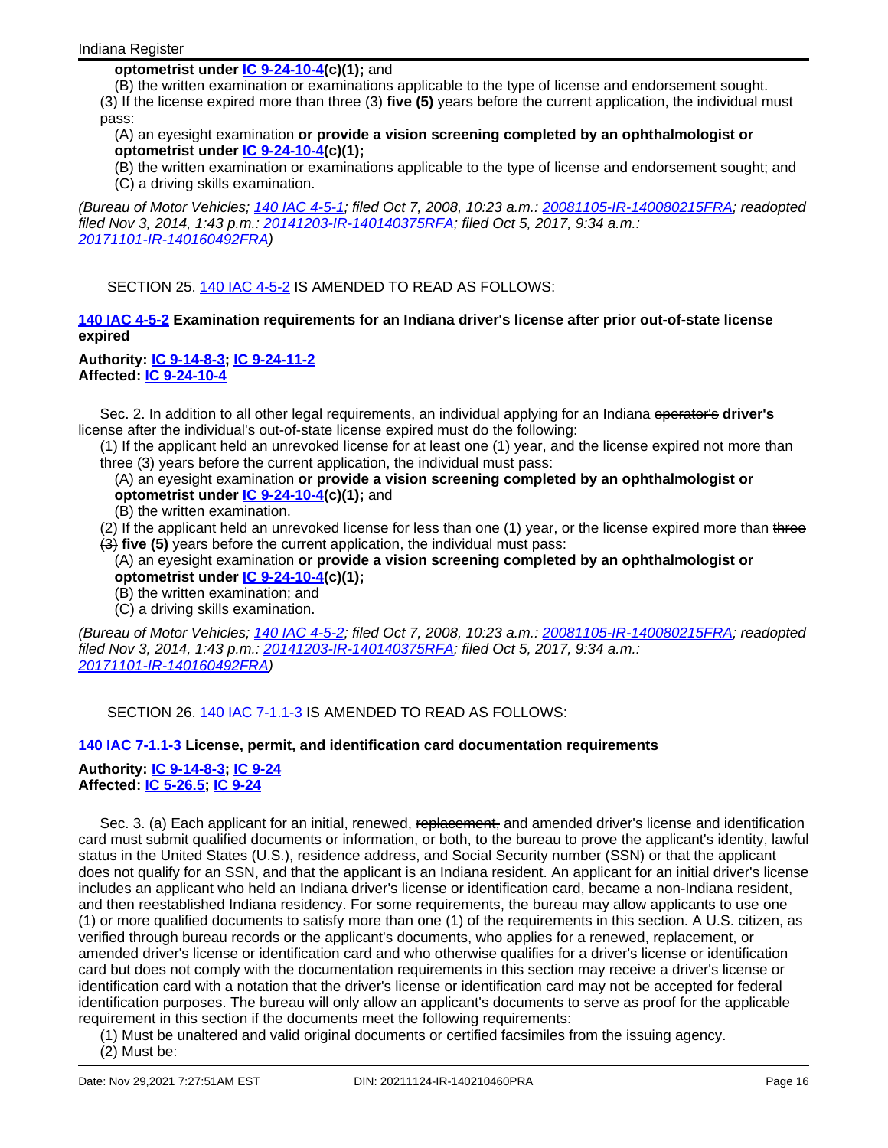## **optometrist under IC [9-24-10-4](http://www.in.gov/legislative/iac/ic?t=9&a=24&c=10&s=4)(c)(1);** and

(B) the written examination or examinations applicable to the type of license and endorsement sought. (3) If the license expired more than three (3) **five (5)** years before the current application, the individual must pass:

## (A) an eyesight examination **or provide a vision screening completed by an ophthalmologist or optometrist under IC [9-24-10-4](http://www.in.gov/legislative/iac/ic?t=9&a=24&c=10&s=4)(c)(1);**

(B) the written examination or examinations applicable to the type of license and endorsement sought; and (C) a driving skills examination.

(Bureau of Motor Vehicles; 140 IAC [4-5-1](http://www.in.gov/legislative/iac/iac_title?iact=140&iaca=4); filed Oct 7, 2008, 10:23 a.m.: [20081105-IR-140080215FRA](http://www.in.gov/legislative/iac/irdin.pdf?din=20081105-IR-140080215FRA); readopted filed Nov 3, 2014, 1:43 p.m.: [20141203-IR-140140375RFA](http://www.in.gov/legislative/iac/irdin.pdf?din=20141203-IR-140140375RFA); filed Oct 5, 2017, 9:34 a.m.: [20171101-IR-140160492FRA](http://www.in.gov/legislative/iac/irdin.pdf?din=20171101-IR-140160492FRA))

SECTION 25. 140 IAC [4-5-2](http://www.in.gov/legislative/iac/iac_title?iact=140&iaca=4) IS AMENDED TO READ AS FOLLOWS:

## **140 IAC [4-5-2](http://www.in.gov/legislative/iac/iac_title?iact=140&iaca=4) Examination requirements for an Indiana driver's license after prior out-of-state license expired**

#### **Authority: IC [9-14-8-3](http://www.in.gov/legislative/iac/ic?t=9&a=14&c=8&s=3); IC [9-24-11-2](http://www.in.gov/legislative/iac/ic?t=9&a=24&c=11&s=2) Affected: IC [9-24-10-4](http://www.in.gov/legislative/iac/ic?t=9&a=24&c=10&s=4)**

Sec. 2. In addition to all other legal requirements, an individual applying for an Indiana operator's **driver's** license after the individual's out-of-state license expired must do the following:

(1) If the applicant held an unrevoked license for at least one (1) year, and the license expired not more than three (3) years before the current application, the individual must pass:

## (A) an eyesight examination **or provide a vision screening completed by an ophthalmologist or optometrist under IC [9-24-10-4](http://www.in.gov/legislative/iac/ic?t=9&a=24&c=10&s=4)(c)(1);** and

(B) the written examination.

(2) If the applicant held an unrevoked license for less than one (1) year, or the license expired more than three (3) **five (5)** years before the current application, the individual must pass:

- (A) an eyesight examination **or provide a vision screening completed by an ophthalmologist or optometrist under IC [9-24-10-4](http://www.in.gov/legislative/iac/ic?t=9&a=24&c=10&s=4)(c)(1);**
- (B) the written examination; and
- (C) a driving skills examination.

(Bureau of Motor Vehicles; 140 IAC [4-5-2](http://www.in.gov/legislative/iac/iac_title?iact=140&iaca=4); filed Oct 7, 2008, 10:23 a.m.: [20081105-IR-140080215FRA](http://www.in.gov/legislative/iac/irdin.pdf?din=20081105-IR-140080215FRA); readopted filed Nov 3, 2014, 1:43 p.m.: [20141203-IR-140140375RFA](http://www.in.gov/legislative/iac/irdin.pdf?din=20141203-IR-140140375RFA); filed Oct 5, 2017, 9:34 a.m.: [20171101-IR-140160492FRA](http://www.in.gov/legislative/iac/irdin.pdf?din=20171101-IR-140160492FRA))

SECTION 26. 140 IAC [7-1.1-3](http://www.in.gov/legislative/iac/iac_title?iact=140&iaca=7) IS AMENDED TO READ AS FOLLOWS:

## **140 IAC [7-1.1-3](http://www.in.gov/legislative/iac/iac_title?iact=140&iaca=7) License, permit, and identification card documentation requirements**

**Authority: IC [9-14-8-3](http://www.in.gov/legislative/iac/ic?t=9&a=14&c=8&s=3); IC [9-24](http://www.in.gov/legislative/iac/ic?t=9&a=24) Affected: IC [5-26.5](http://www.in.gov/legislative/iac/ic?t=5&a=26.5); IC [9-24](http://www.in.gov/legislative/iac/ic?t=9&a=24)**

Sec. 3. (a) Each applicant for an initial, renewed, replacement, and amended driver's license and identification card must submit qualified documents or information, or both, to the bureau to prove the applicant's identity, lawful status in the United States (U.S.), residence address, and Social Security number (SSN) or that the applicant does not qualify for an SSN, and that the applicant is an Indiana resident. An applicant for an initial driver's license includes an applicant who held an Indiana driver's license or identification card, became a non-Indiana resident, and then reestablished Indiana residency. For some requirements, the bureau may allow applicants to use one (1) or more qualified documents to satisfy more than one (1) of the requirements in this section. A U.S. citizen, as verified through bureau records or the applicant's documents, who applies for a renewed, replacement, or amended driver's license or identification card and who otherwise qualifies for a driver's license or identification card but does not comply with the documentation requirements in this section may receive a driver's license or identification card with a notation that the driver's license or identification card may not be accepted for federal identification purposes. The bureau will only allow an applicant's documents to serve as proof for the applicable requirement in this section if the documents meet the following requirements:

(1) Must be unaltered and valid original documents or certified facsimiles from the issuing agency.

(2) Must be: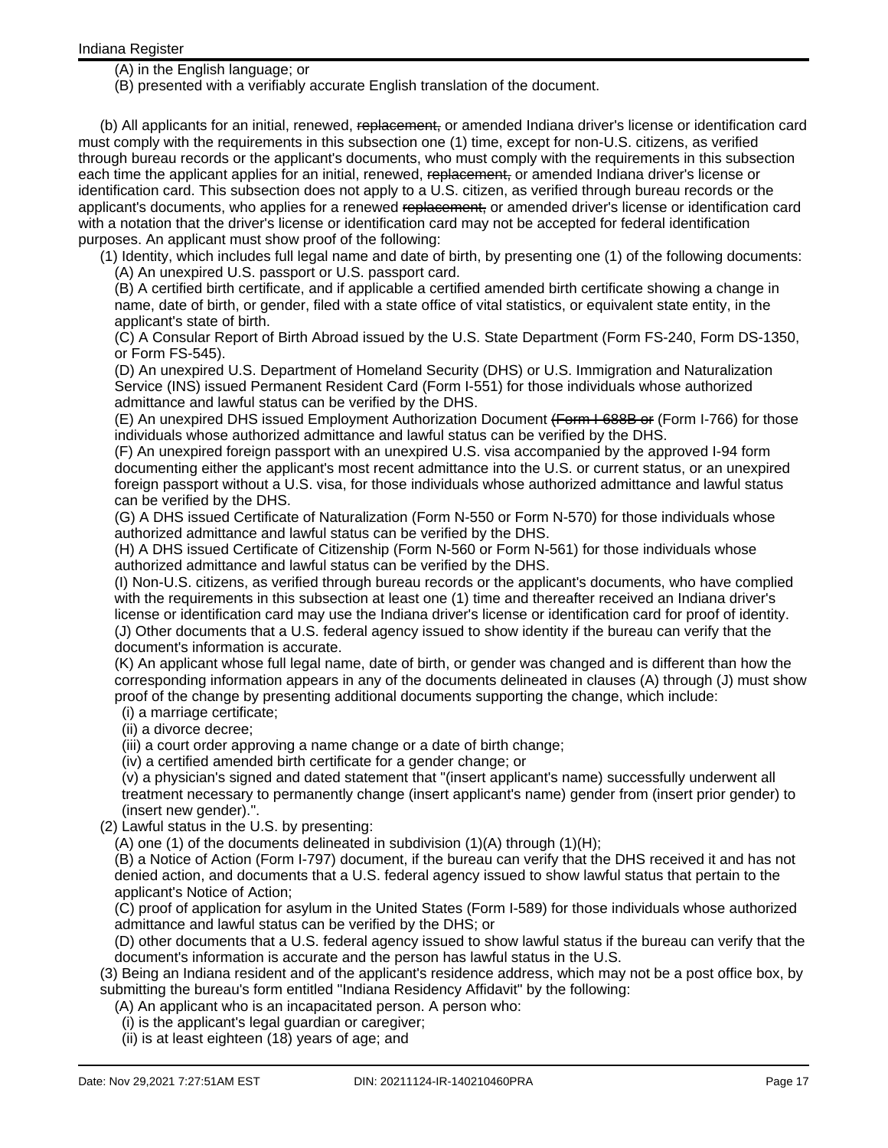(A) in the English language; or

(B) presented with a verifiably accurate English translation of the document.

(b) All applicants for an initial, renewed, replacement, or amended Indiana driver's license or identification card must comply with the requirements in this subsection one (1) time, except for non-U.S. citizens, as verified through bureau records or the applicant's documents, who must comply with the requirements in this subsection each time the applicant applies for an initial, renewed, replacement, or amended Indiana driver's license or identification card. This subsection does not apply to a U.S. citizen, as verified through bureau records or the applicant's documents, who applies for a renewed replacement, or amended driver's license or identification card with a notation that the driver's license or identification card may not be accepted for federal identification purposes. An applicant must show proof of the following:

(1) Identity, which includes full legal name and date of birth, by presenting one (1) of the following documents: (A) An unexpired U.S. passport or U.S. passport card.

(B) A certified birth certificate, and if applicable a certified amended birth certificate showing a change in name, date of birth, or gender, filed with a state office of vital statistics, or equivalent state entity, in the applicant's state of birth.

(C) A Consular Report of Birth Abroad issued by the U.S. State Department (Form FS-240, Form DS-1350, or Form FS-545).

(D) An unexpired U.S. Department of Homeland Security (DHS) or U.S. Immigration and Naturalization Service (INS) issued Permanent Resident Card (Form I-551) for those individuals whose authorized admittance and lawful status can be verified by the DHS.

(E) An unexpired DHS issued Employment Authorization Document (Form I-688B or (Form I-766) for those individuals whose authorized admittance and lawful status can be verified by the DHS.

(F) An unexpired foreign passport with an unexpired U.S. visa accompanied by the approved I-94 form documenting either the applicant's most recent admittance into the U.S. or current status, or an unexpired foreign passport without a U.S. visa, for those individuals whose authorized admittance and lawful status can be verified by the DHS.

(G) A DHS issued Certificate of Naturalization (Form N-550 or Form N-570) for those individuals whose authorized admittance and lawful status can be verified by the DHS.

(H) A DHS issued Certificate of Citizenship (Form N-560 or Form N-561) for those individuals whose authorized admittance and lawful status can be verified by the DHS.

(I) Non-U.S. citizens, as verified through bureau records or the applicant's documents, who have complied with the requirements in this subsection at least one (1) time and thereafter received an Indiana driver's license or identification card may use the Indiana driver's license or identification card for proof of identity. (J) Other documents that a U.S. federal agency issued to show identity if the bureau can verify that the document's information is accurate.

(K) An applicant whose full legal name, date of birth, or gender was changed and is different than how the corresponding information appears in any of the documents delineated in clauses (A) through (J) must show proof of the change by presenting additional documents supporting the change, which include:

(i) a marriage certificate;

(ii) a divorce decree;

(iii) a court order approving a name change or a date of birth change;

(iv) a certified amended birth certificate for a gender change; or

(v) a physician's signed and dated statement that "(insert applicant's name) successfully underwent all treatment necessary to permanently change (insert applicant's name) gender from (insert prior gender) to (insert new gender).".

(2) Lawful status in the U.S. by presenting:

(A) one (1) of the documents delineated in subdivision  $(1)(A)$  through  $(1)(H)$ ;

(B) a Notice of Action (Form I-797) document, if the bureau can verify that the DHS received it and has not denied action, and documents that a U.S. federal agency issued to show lawful status that pertain to the applicant's Notice of Action;

(C) proof of application for asylum in the United States (Form I-589) for those individuals whose authorized admittance and lawful status can be verified by the DHS; or

(D) other documents that a U.S. federal agency issued to show lawful status if the bureau can verify that the document's information is accurate and the person has lawful status in the U.S.

(3) Being an Indiana resident and of the applicant's residence address, which may not be a post office box, by submitting the bureau's form entitled "Indiana Residency Affidavit" by the following:

(A) An applicant who is an incapacitated person. A person who:

- (i) is the applicant's legal guardian or caregiver;
- (ii) is at least eighteen (18) years of age; and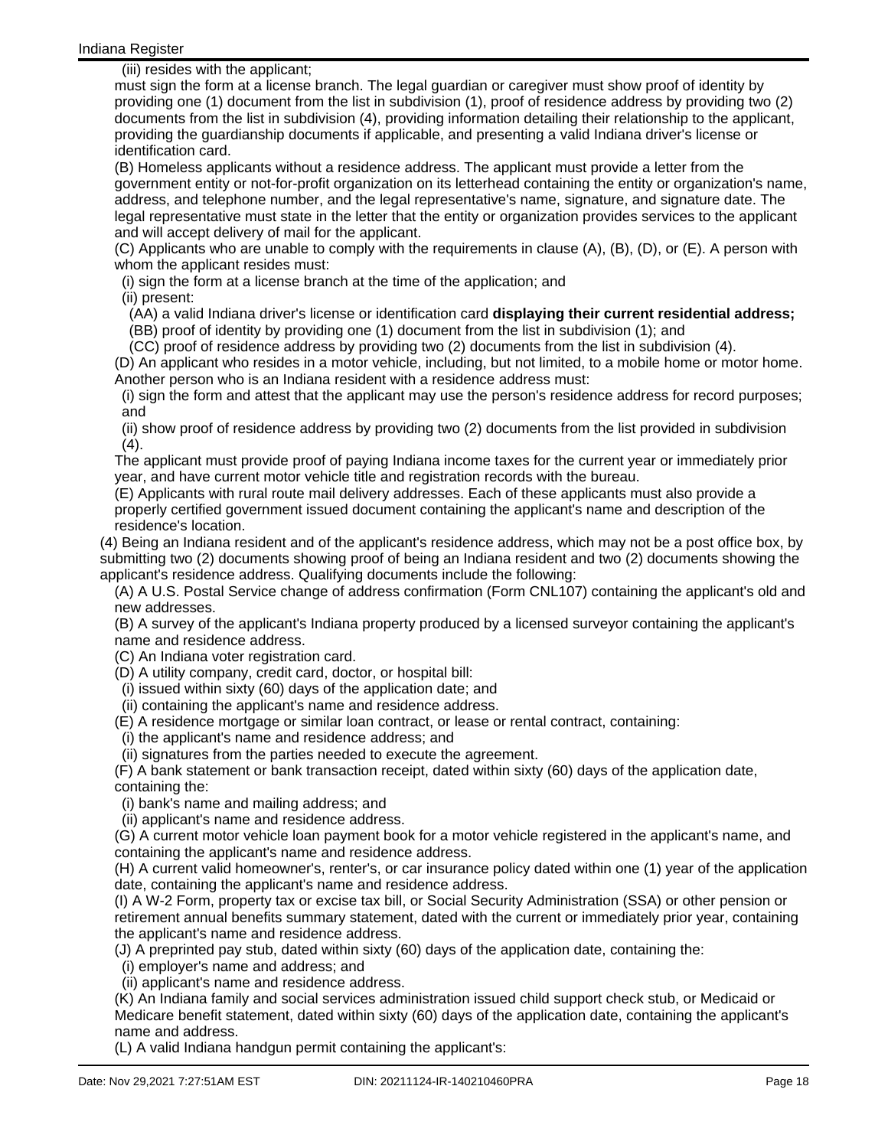(iii) resides with the applicant;

must sign the form at a license branch. The legal guardian or caregiver must show proof of identity by providing one (1) document from the list in subdivision (1), proof of residence address by providing two (2) documents from the list in subdivision (4), providing information detailing their relationship to the applicant, providing the guardianship documents if applicable, and presenting a valid Indiana driver's license or identification card.

(B) Homeless applicants without a residence address. The applicant must provide a letter from the government entity or not-for-profit organization on its letterhead containing the entity or organization's name, address, and telephone number, and the legal representative's name, signature, and signature date. The legal representative must state in the letter that the entity or organization provides services to the applicant and will accept delivery of mail for the applicant.

(C) Applicants who are unable to comply with the requirements in clause (A), (B), (D), or (E). A person with whom the applicant resides must:

(i) sign the form at a license branch at the time of the application; and

(ii) present:

(AA) a valid Indiana driver's license or identification card **displaying their current residential address;**

(BB) proof of identity by providing one (1) document from the list in subdivision (1); and

(CC) proof of residence address by providing two (2) documents from the list in subdivision (4).

(D) An applicant who resides in a motor vehicle, including, but not limited, to a mobile home or motor home. Another person who is an Indiana resident with a residence address must:

(i) sign the form and attest that the applicant may use the person's residence address for record purposes; and

(ii) show proof of residence address by providing two (2) documents from the list provided in subdivision  $(4).$ 

The applicant must provide proof of paying Indiana income taxes for the current year or immediately prior year, and have current motor vehicle title and registration records with the bureau.

(E) Applicants with rural route mail delivery addresses. Each of these applicants must also provide a properly certified government issued document containing the applicant's name and description of the residence's location.

(4) Being an Indiana resident and of the applicant's residence address, which may not be a post office box, by submitting two (2) documents showing proof of being an Indiana resident and two (2) documents showing the applicant's residence address. Qualifying documents include the following:

(A) A U.S. Postal Service change of address confirmation (Form CNL107) containing the applicant's old and new addresses.

(B) A survey of the applicant's Indiana property produced by a licensed surveyor containing the applicant's name and residence address.

(C) An Indiana voter registration card.

(D) A utility company, credit card, doctor, or hospital bill:

(i) issued within sixty (60) days of the application date; and

(ii) containing the applicant's name and residence address.

(E) A residence mortgage or similar loan contract, or lease or rental contract, containing:

(i) the applicant's name and residence address; and

(ii) signatures from the parties needed to execute the agreement.

(F) A bank statement or bank transaction receipt, dated within sixty (60) days of the application date, containing the:

(i) bank's name and mailing address; and

(ii) applicant's name and residence address.

(G) A current motor vehicle loan payment book for a motor vehicle registered in the applicant's name, and containing the applicant's name and residence address.

(H) A current valid homeowner's, renter's, or car insurance policy dated within one (1) year of the application date, containing the applicant's name and residence address.

(I) A W-2 Form, property tax or excise tax bill, or Social Security Administration (SSA) or other pension or retirement annual benefits summary statement, dated with the current or immediately prior year, containing the applicant's name and residence address.

(J) A preprinted pay stub, dated within sixty (60) days of the application date, containing the:

(i) employer's name and address; and

(ii) applicant's name and residence address.

(K) An Indiana family and social services administration issued child support check stub, or Medicaid or Medicare benefit statement, dated within sixty (60) days of the application date, containing the applicant's name and address.

(L) A valid Indiana handgun permit containing the applicant's: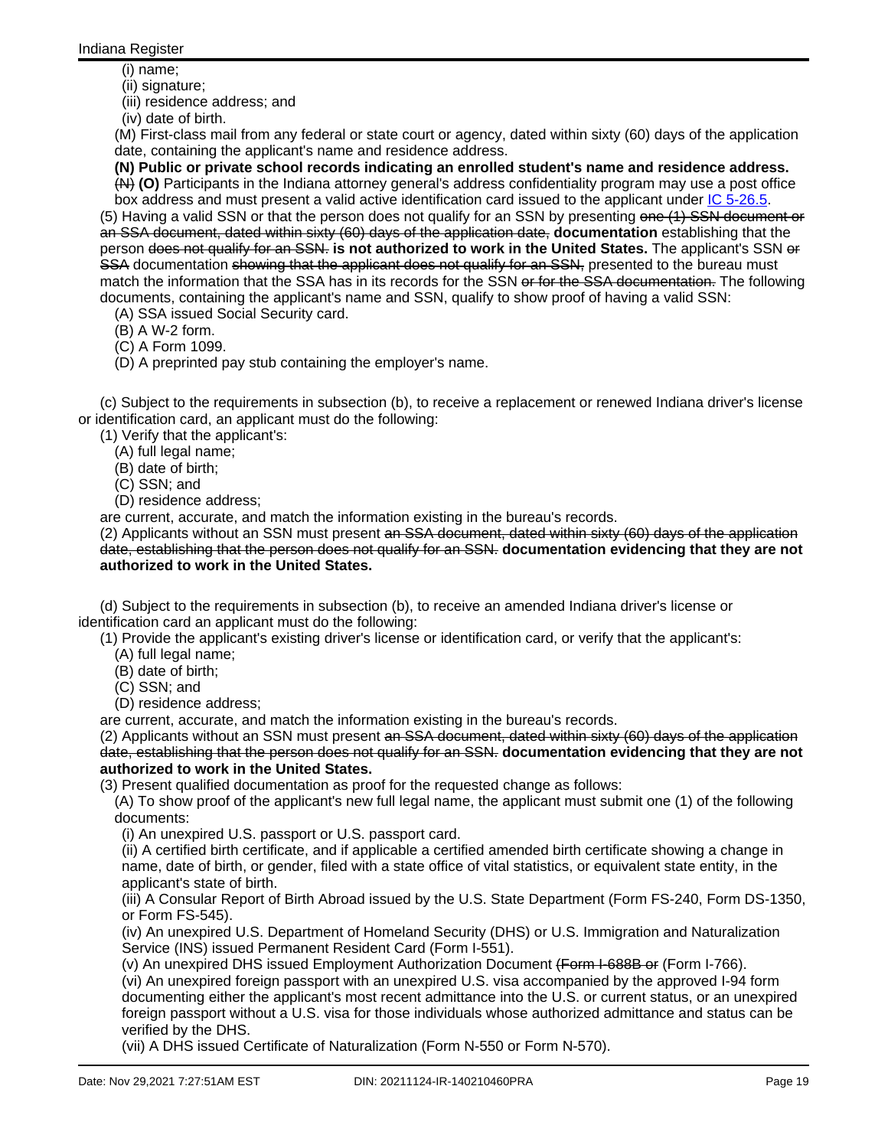(i) name;

(ii) signature;

(iii) residence address; and

(iv) date of birth.

(M) First-class mail from any federal or state court or agency, dated within sixty (60) days of the application date, containing the applicant's name and residence address.

**(N) Public or private school records indicating an enrolled student's name and residence address.**

(N) **(O)** Participants in the Indiana attorney general's address confidentiality program may use a post office box address and must present a valid active identification card issued to the applicant under *IC* [5-26.5](http://www.in.gov/legislative/iac/ic?t=5&a=26.5).

(5) Having a valid SSN or that the person does not qualify for an SSN by presenting one (1) SSN document or an SSA document, dated within sixty (60) days of the application date, **documentation** establishing that the person does not qualify for an SSN. **is not authorized to work in the United States.** The applicant's SSN or SSA documentation showing that the applicant does not qualify for an SSN, presented to the bureau must match the information that the SSA has in its records for the SSN or for the SSA documentation. The following documents, containing the applicant's name and SSN, qualify to show proof of having a valid SSN:

(A) SSA issued Social Security card.

(B) A W-2 form.

(C) A Form 1099.

(D) A preprinted pay stub containing the employer's name.

(c) Subject to the requirements in subsection (b), to receive a replacement or renewed Indiana driver's license or identification card, an applicant must do the following:

(1) Verify that the applicant's:

(A) full legal name;

(B) date of birth;

(C) SSN; and

(D) residence address;

are current, accurate, and match the information existing in the bureau's records.

(2) Applicants without an SSN must present an SSA document, dated within sixty (60) days of the application date, establishing that the person does not qualify for an SSN. **documentation evidencing that they are not authorized to work in the United States.**

(d) Subject to the requirements in subsection (b), to receive an amended Indiana driver's license or identification card an applicant must do the following:

(1) Provide the applicant's existing driver's license or identification card, or verify that the applicant's:

(A) full legal name;

- (B) date of birth;
- (C) SSN; and
- (D) residence address;

are current, accurate, and match the information existing in the bureau's records.

(2) Applicants without an SSN must present an SSA document, dated within sixty (60) days of the application date, establishing that the person does not qualify for an SSN. **documentation evidencing that they are not authorized to work in the United States.**

(3) Present qualified documentation as proof for the requested change as follows:

(A) To show proof of the applicant's new full legal name, the applicant must submit one (1) of the following documents:

(i) An unexpired U.S. passport or U.S. passport card.

(ii) A certified birth certificate, and if applicable a certified amended birth certificate showing a change in name, date of birth, or gender, filed with a state office of vital statistics, or equivalent state entity, in the applicant's state of birth.

(iii) A Consular Report of Birth Abroad issued by the U.S. State Department (Form FS-240, Form DS-1350, or Form FS-545).

(iv) An unexpired U.S. Department of Homeland Security (DHS) or U.S. Immigration and Naturalization Service (INS) issued Permanent Resident Card (Form I-551).

(v) An unexpired DHS issued Employment Authorization Document (Form I-688B or (Form I-766).

(vi) An unexpired foreign passport with an unexpired U.S. visa accompanied by the approved I-94 form documenting either the applicant's most recent admittance into the U.S. or current status, or an unexpired foreign passport without a U.S. visa for those individuals whose authorized admittance and status can be verified by the DHS.

(vii) A DHS issued Certificate of Naturalization (Form N-550 or Form N-570).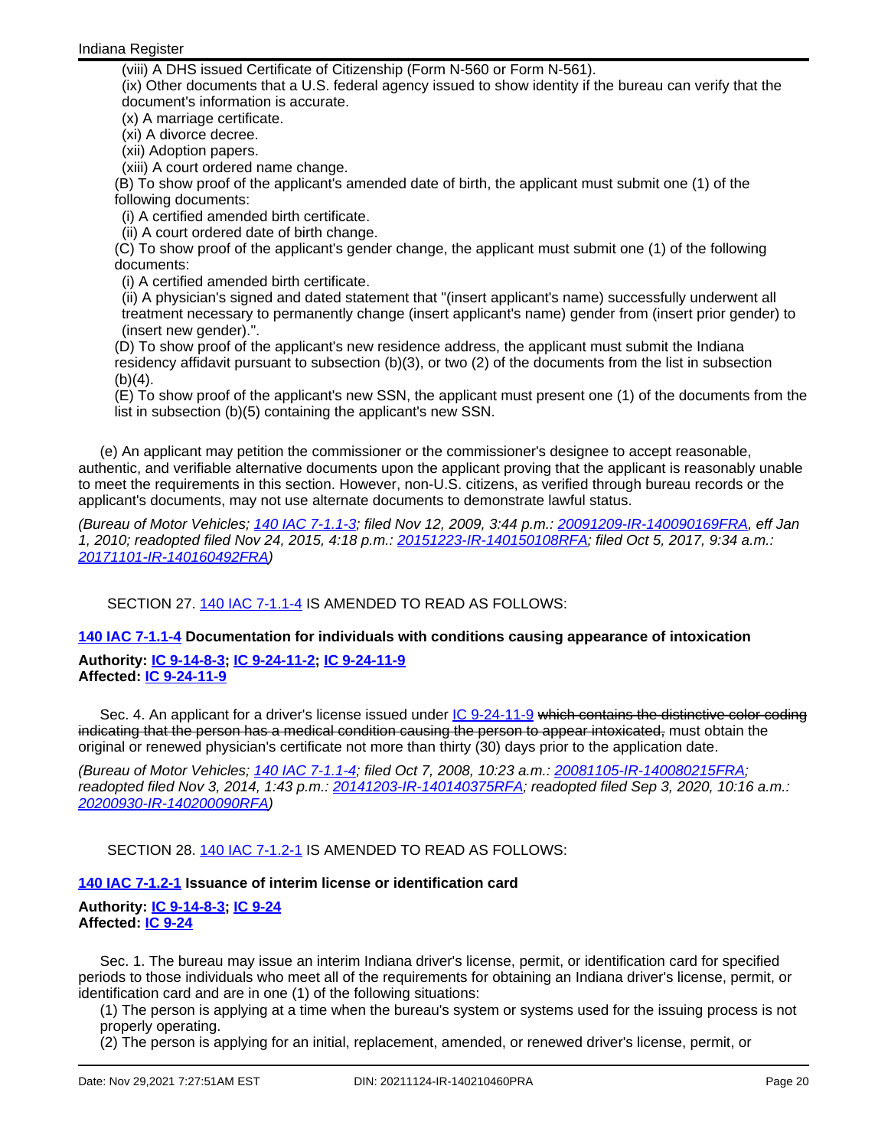(viii) A DHS issued Certificate of Citizenship (Form N-560 or Form N-561).

(ix) Other documents that a U.S. federal agency issued to show identity if the bureau can verify that the document's information is accurate.

(x) A marriage certificate.

(xi) A divorce decree.

(xii) Adoption papers.

(xiii) A court ordered name change.

(B) To show proof of the applicant's amended date of birth, the applicant must submit one (1) of the following documents:

(i) A certified amended birth certificate.

(ii) A court ordered date of birth change.

(C) To show proof of the applicant's gender change, the applicant must submit one (1) of the following documents:

(i) A certified amended birth certificate.

(ii) A physician's signed and dated statement that "(insert applicant's name) successfully underwent all treatment necessary to permanently change (insert applicant's name) gender from (insert prior gender) to (insert new gender).".

(D) To show proof of the applicant's new residence address, the applicant must submit the Indiana residency affidavit pursuant to subsection (b)(3), or two (2) of the documents from the list in subsection  $(b)(4)$ .

(E) To show proof of the applicant's new SSN, the applicant must present one (1) of the documents from the list in subsection (b)(5) containing the applicant's new SSN.

(e) An applicant may petition the commissioner or the commissioner's designee to accept reasonable, authentic, and verifiable alternative documents upon the applicant proving that the applicant is reasonably unable to meet the requirements in this section. However, non-U.S. citizens, as verified through bureau records or the applicant's documents, may not use alternate documents to demonstrate lawful status.

(Bureau of Motor Vehicles; 140 IAC [7-1.1-3;](http://www.in.gov/legislative/iac/iac_title?iact=140&iaca=7) filed Nov 12, 2009, 3:44 p.m.: [20091209-IR-140090169FRA,](http://www.in.gov/legislative/iac/irdin.pdf?din=20091209-IR-140090169FRA) eff Jan 1, 2010; readopted filed Nov 24, 2015, 4:18 p.m.: [20151223-IR-140150108RFA](http://www.in.gov/legislative/iac/irdin.pdf?din=20151223-IR-140150108RFA); filed Oct 5, 2017, 9:34 a.m.: [20171101-IR-140160492FRA](http://www.in.gov/legislative/iac/irdin.pdf?din=20171101-IR-140160492FRA))

SECTION 27. 140 IAC [7-1.1-4](http://www.in.gov/legislative/iac/iac_title?iact=140&iaca=7) IS AMENDED TO READ AS FOLLOWS:

**140 IAC [7-1.1-4](http://www.in.gov/legislative/iac/iac_title?iact=140&iaca=7) Documentation for individuals with conditions causing appearance of intoxication**

**Authority: IC [9-14-8-3](http://www.in.gov/legislative/iac/ic?t=9&a=14&c=8&s=3); IC [9-24-11-2](http://www.in.gov/legislative/iac/ic?t=9&a=24&c=11&s=2); IC [9-24-11-9](http://www.in.gov/legislative/iac/ic?t=9&a=24&c=11&s=9) Affected: IC [9-24-11-9](http://www.in.gov/legislative/iac/ic?t=9&a=24&c=11&s=9)**

Sec. 4. An applicant for a driver's license issued under IC [9-24-11-9](http://www.in.gov/legislative/iac/ic?t=9&a=24&c=11&s=9) which contains the distinctive color coding indicating that the person has a medical condition causing the person to appear intoxicated, must obtain the original or renewed physician's certificate not more than thirty (30) days prior to the application date.

(Bureau of Motor Vehicles; <u>140 IAC 7-1.1-4</u>; filed Oct 7, 2008, 10:23 a.m.: [20081105-IR-140080215FRA;](http://www.in.gov/legislative/iac/irdin.pdf?din=20081105-IR-140080215FRA) readopted filed Nov 3, 2014, 1:43 p.m.: [20141203-IR-140140375RFA;](http://www.in.gov/legislative/iac/irdin.pdf?din=20141203-IR-140140375RFA) readopted filed Sep 3, 2020, 10:16 a.m.: [20200930-IR-140200090RFA](http://www.in.gov/legislative/iac/irdin.pdf?din=20200930-IR-140200090RFA))

SECTION 28. 140 IAC [7-1.2-1](http://www.in.gov/legislative/iac/iac_title?iact=140&iaca=7) IS AMENDED TO READ AS FOLLOWS:

# **140 IAC [7-1.2-1](http://www.in.gov/legislative/iac/iac_title?iact=140&iaca=7) Issuance of interim license or identification card**

# **Authority: IC [9-14-8-3](http://www.in.gov/legislative/iac/ic?t=9&a=14&c=8&s=3); IC [9-24](http://www.in.gov/legislative/iac/ic?t=9&a=24) Affected: IC [9-24](http://www.in.gov/legislative/iac/ic?t=9&a=24)**

Sec. 1. The bureau may issue an interim Indiana driver's license, permit, or identification card for specified periods to those individuals who meet all of the requirements for obtaining an Indiana driver's license, permit, or identification card and are in one (1) of the following situations:

(1) The person is applying at a time when the bureau's system or systems used for the issuing process is not properly operating.

(2) The person is applying for an initial, replacement, amended, or renewed driver's license, permit, or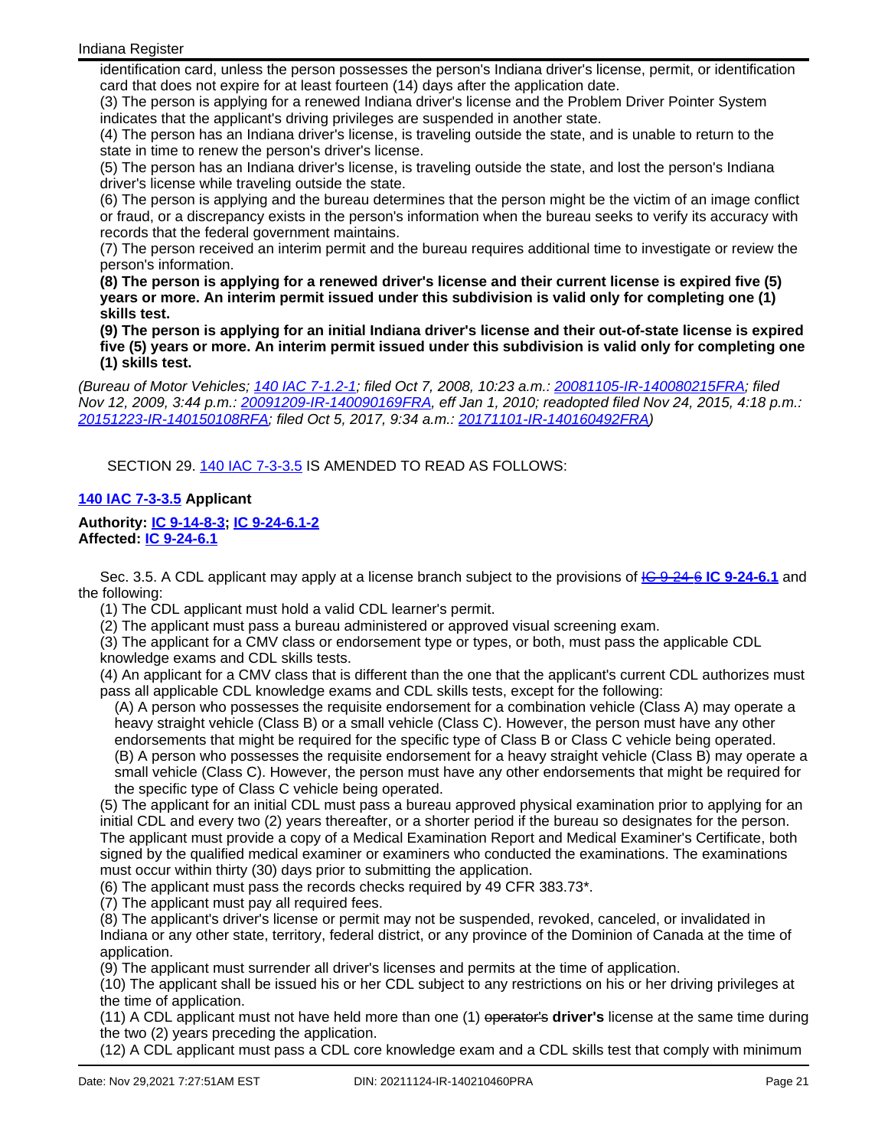identification card, unless the person possesses the person's Indiana driver's license, permit, or identification card that does not expire for at least fourteen (14) days after the application date.

(3) The person is applying for a renewed Indiana driver's license and the Problem Driver Pointer System indicates that the applicant's driving privileges are suspended in another state.

(4) The person has an Indiana driver's license, is traveling outside the state, and is unable to return to the state in time to renew the person's driver's license.

(5) The person has an Indiana driver's license, is traveling outside the state, and lost the person's Indiana driver's license while traveling outside the state.

(6) The person is applying and the bureau determines that the person might be the victim of an image conflict or fraud, or a discrepancy exists in the person's information when the bureau seeks to verify its accuracy with records that the federal government maintains.

(7) The person received an interim permit and the bureau requires additional time to investigate or review the person's information.

**(8) The person is applying for a renewed driver's license and their current license is expired five (5) years or more. An interim permit issued under this subdivision is valid only for completing one (1) skills test.**

**(9) The person is applying for an initial Indiana driver's license and their out-of-state license is expired five (5) years or more. An interim permit issued under this subdivision is valid only for completing one (1) skills test.**

(Bureau of Motor Vehicles; 140 IAC [7-1.2-1;](http://www.in.gov/legislative/iac/iac_title?iact=140&iaca=7) filed Oct 7, 2008, 10:23 a.m.: [20081105-IR-140080215FRA;](http://www.in.gov/legislative/iac/irdin.pdf?din=20081105-IR-140080215FRA) filed Nov 12, 2009, 3:44 p.m.: [20091209-IR-140090169FRA](http://www.in.gov/legislative/iac/irdin.pdf?din=20091209-IR-140090169FRA), eff Jan 1, 2010; readopted filed Nov 24, 2015, 4:18 p.m.: [20151223-IR-140150108RFA](http://www.in.gov/legislative/iac/irdin.pdf?din=20151223-IR-140150108RFA); filed Oct 5, 2017, 9:34 a.m.: [20171101-IR-140160492FRA\)](http://www.in.gov/legislative/iac/irdin.pdf?din=20171101-IR-140160492FRA)

SECTION 29. 140 IAC [7-3-3.5](http://www.in.gov/legislative/iac/iac_title?iact=140&iaca=7) IS AMENDED TO READ AS FOLLOWS:

## **140 IAC [7-3-3.5](http://www.in.gov/legislative/iac/iac_title?iact=140&iaca=7) Applicant**

## **Authority: IC [9-14-8-3](http://www.in.gov/legislative/iac/ic?t=9&a=14&c=8&s=3); IC [9-24-6.1-2](http://www.in.gov/legislative/iac/ic?t=9&a=24&c=6.1&s=2) Affected: IC [9-24-6.1](http://www.in.gov/legislative/iac/ic?t=9&a=24&c=6.1)**

Sec. 3.5. A CDL applicant may apply at a license branch subject to the provisions of IC [9-24-6](http://www.in.gov/legislative/iac/ic?t=9&a=24&c=6) **IC [9-24-6.1](http://www.in.gov/legislative/iac/ic?t=9&a=24&c=6.1)** and the following:

(1) The CDL applicant must hold a valid CDL learner's permit.

(2) The applicant must pass a bureau administered or approved visual screening exam.

(3) The applicant for a CMV class or endorsement type or types, or both, must pass the applicable CDL knowledge exams and CDL skills tests.

(4) An applicant for a CMV class that is different than the one that the applicant's current CDL authorizes must pass all applicable CDL knowledge exams and CDL skills tests, except for the following:

(A) A person who possesses the requisite endorsement for a combination vehicle (Class A) may operate a heavy straight vehicle (Class B) or a small vehicle (Class C). However, the person must have any other endorsements that might be required for the specific type of Class B or Class C vehicle being operated.

(B) A person who possesses the requisite endorsement for a heavy straight vehicle (Class B) may operate a small vehicle (Class C). However, the person must have any other endorsements that might be required for the specific type of Class C vehicle being operated.

(5) The applicant for an initial CDL must pass a bureau approved physical examination prior to applying for an initial CDL and every two (2) years thereafter, or a shorter period if the bureau so designates for the person. The applicant must provide a copy of a Medical Examination Report and Medical Examiner's Certificate, both signed by the qualified medical examiner or examiners who conducted the examinations. The examinations must occur within thirty (30) days prior to submitting the application.

(6) The applicant must pass the records checks required by 49 CFR 383.73\*.

(7) The applicant must pay all required fees.

(8) The applicant's driver's license or permit may not be suspended, revoked, canceled, or invalidated in Indiana or any other state, territory, federal district, or any province of the Dominion of Canada at the time of application.

(9) The applicant must surrender all driver's licenses and permits at the time of application.

(10) The applicant shall be issued his or her CDL subject to any restrictions on his or her driving privileges at the time of application.

(11) A CDL applicant must not have held more than one (1) operator's **driver's** license at the same time during the two (2) years preceding the application.

(12) A CDL applicant must pass a CDL core knowledge exam and a CDL skills test that comply with minimum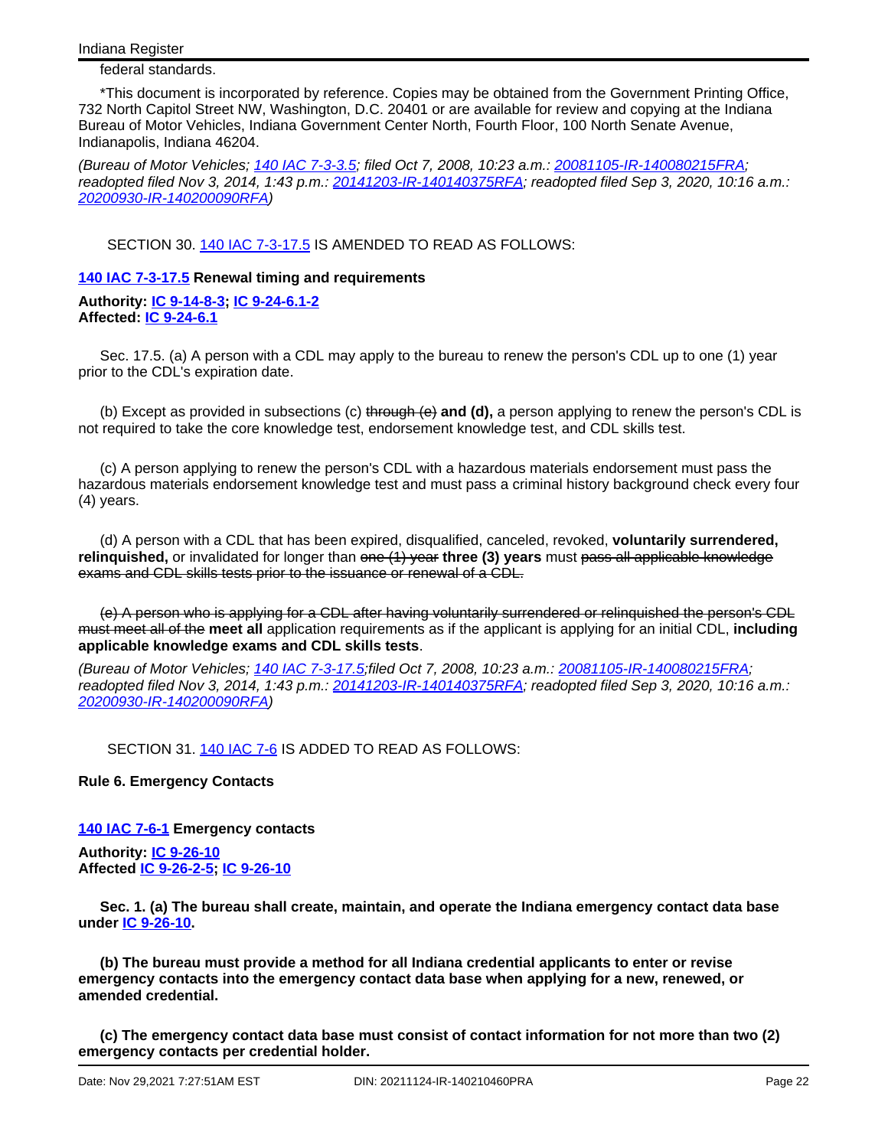federal standards.

\*This document is incorporated by reference. Copies may be obtained from the Government Printing Office, 732 North Capitol Street NW, Washington, D.C. 20401 or are available for review and copying at the Indiana Bureau of Motor Vehicles, Indiana Government Center North, Fourth Floor, 100 North Senate Avenue, Indianapolis, Indiana 46204.

(Bureau of Motor Vehicles; 140 IAC [7-3-3.5;](http://www.in.gov/legislative/iac/iac_title?iact=140&iaca=7) filed Oct 7, 2008, 10:23 a.m.: [20081105-IR-140080215FRA;](http://www.in.gov/legislative/iac/irdin.pdf?din=20081105-IR-140080215FRA) readopted filed Nov 3, 2014, 1:43 p.m.: [20141203-IR-140140375RFA;](http://www.in.gov/legislative/iac/irdin.pdf?din=20141203-IR-140140375RFA) readopted filed Sep 3, 2020, 10:16 a.m.: [20200930-IR-140200090RFA](http://www.in.gov/legislative/iac/irdin.pdf?din=20200930-IR-140200090RFA))

SECTION 30. 140 IAC [7-3-17.5](http://www.in.gov/legislative/iac/iac_title?iact=140&iaca=7) IS AMENDED TO READ AS FOLLOWS:

## **140 IAC [7-3-17.5](http://www.in.gov/legislative/iac/iac_title?iact=140&iaca=7) Renewal timing and requirements**

**Authority: IC [9-14-8-3](http://www.in.gov/legislative/iac/ic?t=9&a=14&c=8&s=3); IC [9-24-6.1-2](http://www.in.gov/legislative/iac/ic?t=9&a=24&c=6.1&s=2) Affected: IC [9-24-6.1](http://www.in.gov/legislative/iac/ic?t=9&a=24&c=6.1)**

Sec. 17.5. (a) A person with a CDL may apply to the bureau to renew the person's CDL up to one (1) year prior to the CDL's expiration date.

(b) Except as provided in subsections (c) through (e) **and (d),** a person applying to renew the person's CDL is not required to take the core knowledge test, endorsement knowledge test, and CDL skills test.

(c) A person applying to renew the person's CDL with a hazardous materials endorsement must pass the hazardous materials endorsement knowledge test and must pass a criminal history background check every four (4) years.

(d) A person with a CDL that has been expired, disqualified, canceled, revoked, **voluntarily surrendered, relinquished,** or invalidated for longer than one (1) year **three (3) years** must pass all applicable knowledge exams and CDL skills tests prior to the issuance or renewal of a CDL.

(e) A person who is applying for a CDL after having voluntarily surrendered or relinquished the person's CDL must meet all of the **meet all** application requirements as if the applicant is applying for an initial CDL, **including applicable knowledge exams and CDL skills tests**.

(Bureau of Motor Vehicles; 140 IAC [7-3-17.5](http://www.in.gov/legislative/iac/iac_title?iact=140&iaca=7);filed Oct 7, 2008, 10:23 a.m.: [20081105-IR-140080215FRA](http://www.in.gov/legislative/iac/irdin.pdf?din=20081105-IR-140080215FRA); readopted filed Nov 3, 2014, 1:43 p.m.: [20141203-IR-140140375RFA;](http://www.in.gov/legislative/iac/irdin.pdf?din=20141203-IR-140140375RFA) readopted filed Sep 3, 2020, 10:16 a.m.: [20200930-IR-140200090RFA](http://www.in.gov/legislative/iac/irdin.pdf?din=20200930-IR-140200090RFA))

SECTION 31. 140 [IAC](http://www.in.gov/legislative/iac/iac_title?iact=140&iaca=7) 7-6 IS ADDED TO READ AS FOLLOWS:

**Rule 6. Emergency Contacts**

**140 IAC [7-6-1](http://www.in.gov/legislative/iac/iac_title?iact=140&iaca=7) Emergency contacts**

**Authority: IC [9-26-10](http://www.in.gov/legislative/iac/ic?t=9&a=26&c=10) Affected IC [9-26-2-5](http://www.in.gov/legislative/iac/ic?t=9&a=26&c=2&s=5); IC [9-26-10](http://www.in.gov/legislative/iac/ic?t=9&a=26&c=10)**

**Sec. 1. (a) The bureau shall create, maintain, and operate the Indiana emergency contact data base under IC [9-26-10.](http://www.in.gov/legislative/iac/ic?t=9&a=26&c=10)**

**(b) The bureau must provide a method for all Indiana credential applicants to enter or revise emergency contacts into the emergency contact data base when applying for a new, renewed, or amended credential.**

**(c) The emergency contact data base must consist of contact information for not more than two (2) emergency contacts per credential holder.**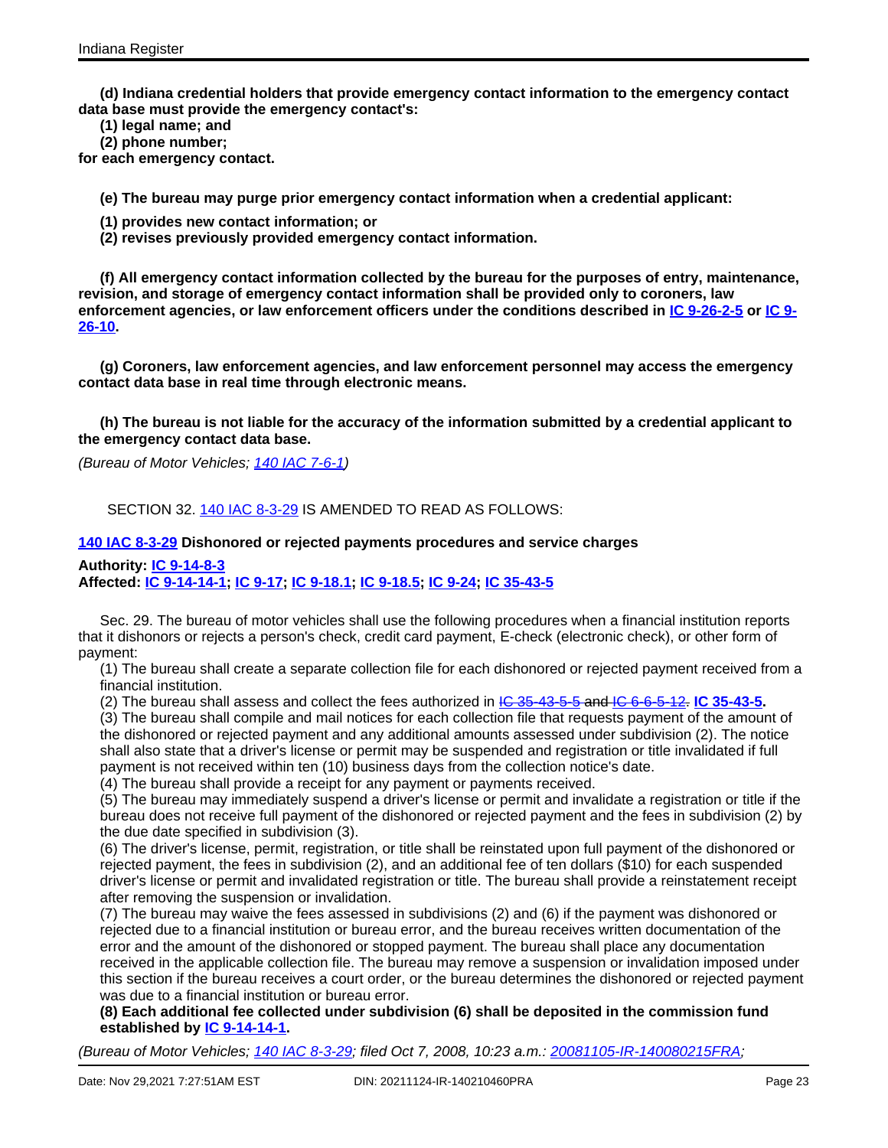**(d) Indiana credential holders that provide emergency contact information to the emergency contact data base must provide the emergency contact's:**

- **(1) legal name; and**
- **(2) phone number;**

**for each emergency contact.**

**(e) The bureau may purge prior emergency contact information when a credential applicant:**

- **(1) provides new contact information; or**
- **(2) revises previously provided emergency contact information.**

**(f) All emergency contact information collected by the bureau for the purposes of entry, maintenance, revision, and storage of emergency contact information shall be provided only to coroners, law enforcement agencies, or law enforcement officers under the conditions described in IC [9-26-2-5](http://www.in.gov/legislative/iac/ic?t=9&a=26&c=2&s=5) or [IC](http://www.in.gov/legislative/iac/ic?t=9&a=26&c=10) 9- [26-10.](http://www.in.gov/legislative/iac/ic?t=9&a=26&c=10)**

**(g) Coroners, law enforcement agencies, and law enforcement personnel may access the emergency contact data base in real time through electronic means.**

**(h) The bureau is not liable for the accuracy of the information submitted by a credential applicant to the emergency contact data base.**

(Bureau of Motor Vehicles; 140 IAC [7-6-1](http://www.in.gov/legislative/iac/iac_title?iact=140&iaca=7))

SECTION 32. 140 IAC [8-3-29](http://www.in.gov/legislative/iac/iac_title?iact=140&iaca=8) IS AMENDED TO READ AS FOLLOWS:

#### **140 IAC [8-3-29](http://www.in.gov/legislative/iac/iac_title?iact=140&iaca=8) Dishonored or rejected payments procedures and service charges**

#### **Authority: IC [9-14-8-3](http://www.in.gov/legislative/iac/ic?t=9&a=14&c=8&s=3)**

**Affected: IC [9-14-14-1](http://www.in.gov/legislative/iac/ic?t=9&a=14&c=14&s=1); IC [9-17](http://www.in.gov/legislative/iac/ic?t=9&a=17); IC [9-18.1](http://www.in.gov/legislative/iac/ic?t=9&a=18.1); IC [9-18.5;](http://www.in.gov/legislative/iac/ic?t=9&a=18.5) IC [9-24;](http://www.in.gov/legislative/iac/ic?t=9&a=24) IC [35-43-5](http://www.in.gov/legislative/iac/ic?t=35&a=43&c=5)**

Sec. 29. The bureau of motor vehicles shall use the following procedures when a financial institution reports that it dishonors or rejects a person's check, credit card payment, E-check (electronic check), or other form of payment:

(1) The bureau shall create a separate collection file for each dishonored or rejected payment received from a financial institution.

(2) The bureau shall assess and collect the fees authorized in IC [35-43-5-5](http://www.in.gov/legislative/iac/ic?t=35&a=43&c=5&s=5) and IC [6-6-5-12](http://www.in.gov/legislative/iac/ic?t=6&a=6&c=5&s=12). **IC [35-43-5.](http://www.in.gov/legislative/iac/ic?t=35&a=43&c=5)**

(3) The bureau shall compile and mail notices for each collection file that requests payment of the amount of the dishonored or rejected payment and any additional amounts assessed under subdivision (2). The notice shall also state that a driver's license or permit may be suspended and registration or title invalidated if full payment is not received within ten (10) business days from the collection notice's date.

(4) The bureau shall provide a receipt for any payment or payments received.

(5) The bureau may immediately suspend a driver's license or permit and invalidate a registration or title if the bureau does not receive full payment of the dishonored or rejected payment and the fees in subdivision (2) by the due date specified in subdivision (3).

(6) The driver's license, permit, registration, or title shall be reinstated upon full payment of the dishonored or rejected payment, the fees in subdivision (2), and an additional fee of ten dollars (\$10) for each suspended driver's license or permit and invalidated registration or title. The bureau shall provide a reinstatement receipt after removing the suspension or invalidation.

(7) The bureau may waive the fees assessed in subdivisions (2) and (6) if the payment was dishonored or rejected due to a financial institution or bureau error, and the bureau receives written documentation of the error and the amount of the dishonored or stopped payment. The bureau shall place any documentation received in the applicable collection file. The bureau may remove a suspension or invalidation imposed under this section if the bureau receives a court order, or the bureau determines the dishonored or rejected payment was due to a financial institution or bureau error.

**(8) Each additional fee collected under subdivision (6) shall be deposited in the commission fund established by IC [9-14-14-1](http://www.in.gov/legislative/iac/ic?t=9&a=14&c=14&s=1).**

(Bureau of Motor Vehicles; 140 IAC [8-3-29;](http://www.in.gov/legislative/iac/iac_title?iact=140&iaca=8) filed Oct 7, 2008, 10:23 a.m.: [20081105-IR-140080215FRA;](http://www.in.gov/legislative/iac/irdin.pdf?din=20081105-IR-140080215FRA)